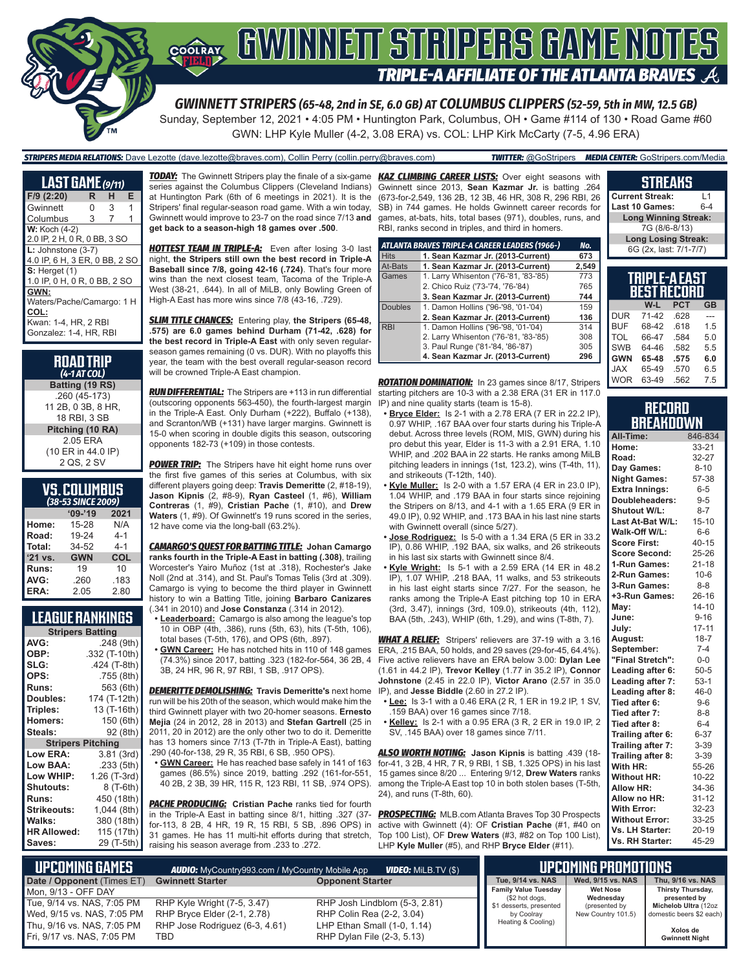

# GWINNEIT STRIPERS GAME NOTES **TRIPLE-A AFFILIATE OF THE ATLANTA BRAVES**

*GWINNETT STRIPERS (65-48, 2nd in SE, 6.0 GB) AT COLUMBUS CLIPPERS (52-59, 5th in MW, 12.5 GB)*

Sunday, September 12, 2021 • 4:05 PM • Huntington Park, Columbus, OH • Game #114 of 130 • Road Game #60 GWN: LHP Kyle Muller (4-2, 3.08 ERA) vs. COL: LHP Kirk McCarty (7-5, 4.96 ERA)

*STRIPERS MEDIA RELATIONS:* Dave Lezotte (dave.lezotte@braves.com), Collin Perry (collin.perry@braves.com) *TWITTER:* @GoStripers *MEDIA CENTER:* GoStripers.com/Media

| <b>LAST GAME</b> (9/11)       |   |   |   |
|-------------------------------|---|---|---|
| F/9 (2:20)                    | R | н | Е |
| Gwinnett                      | N | 3 | 1 |
| Columbus                      | 3 | 7 |   |
| <b>W:</b> Koch (4-2)          |   |   |   |
| 2.0 IP, 2 H, 0 R, 0 BB, 3 SO  |   |   |   |
| $L:$ Johnstone $(3-7)$        |   |   |   |
| 4.0 IP, 6 H, 3 ER, 0 BB, 2 SO |   |   |   |
| $S:$ Herget $(1)$             |   |   |   |
| 1.0 IP, 0 H, 0 R, 0 BB, 2 SO  |   |   |   |
| GWN:                          |   |   |   |
| Waters/Pache/Camargo: 1 H     |   |   |   |
| COL:                          |   |   |   |
| Kwan: 1-4, HR, 2 RBI          |   |   |   |
| Gonzalez: 1-4, HR, RBI        |   |   |   |

| <b>ROAD TRIP</b><br>$(4-1 AT COL)$ |
|------------------------------------|
| Batting (19 RS)                    |
| .260 (45-173)                      |
| 11 2B, 0 3B, 8 HR,                 |
| 18 RBI, 3 SB                       |
| Pitching (10 RA)                   |
| 2.05 ERA                           |
| (10 ER in 44.0 IP)                 |
| 2 QS 2 SV                          |

| <b>VS.COLUMBUS</b> |  |  |
|--------------------|--|--|
| (38-53 SINCE 2009) |  |  |

| 190 JJ JINCL ZUUS |            |         |  |
|-------------------|------------|---------|--|
|                   | $09 - 19$  | 2021    |  |
| Home:             | 15-28      | N/A     |  |
| Road:             | 19-24      | $4 - 1$ |  |
| Total:            | 34-52      | $4 - 1$ |  |
| '21 vs.           | <b>GWN</b> | COL     |  |
| Runs:             | 19         | 10      |  |
| AVG:              | .260       | .183    |  |
| ERA:              | 2.05       | 2.80    |  |

## **LEAGUE RANKINGS**

| <b>Stripers Batting</b>  |               |  |  |
|--------------------------|---------------|--|--|
| AVG:                     | .248 (9th)    |  |  |
| OBP:                     | .332 (T-10th) |  |  |
| SLG:                     | .424 (T-8th)  |  |  |
| OPS:                     | .755 (8th)    |  |  |
| <b>Runs:</b>             | 563 (6th)     |  |  |
| Doubles:                 | 174 (T-12th)  |  |  |
| Triples:                 | 13 (T-16th)   |  |  |
| Homers:                  | 150 (6th)     |  |  |
| Steals:                  | 92 (8th)      |  |  |
| <b>Stripers Pitching</b> |               |  |  |
| <b>Low ERA:</b>          | 3.81(3rd)     |  |  |
| Low BAA:                 | .233 (5th)    |  |  |
| Low WHIP:                | 1.26 (T-3rd)  |  |  |
| <b>Shutouts:</b>         | 8 (T-6th)     |  |  |
| <b>Runs:</b>             | 450 (18th)    |  |  |
| Strikeouts:              | 1,044 (8th)   |  |  |
| Walks:                   | 380 (18th)    |  |  |
| <b>HR Allowed:</b>       | 115 (17th)    |  |  |
| Saves:                   | 29 (T-5th)    |  |  |

*TODAY:* The Gwinnett Stripers play the finale of a six-game *KAZ CLIMBING CAREER LISTS:* Over eight seasons with series against the Columbus Clippers (Cleveland Indians) at Huntington Park (6th of 6 meetings in 2021). It is the Stripers' final regular-season road game. With a win today, Gwinnett would improve to 23-7 on the road since 7/13 **and get back to a season-high 18 games over .500**.

**HOTTEST TEAM IN TRIPLE-A:** Even after losing 3-0 last night, **the Stripers still own the best record in Triple-A Baseball since 7/8, going 42-16 (.724)**. That's four more wins than the next closest team, Tacoma of the Triple-A West (38-21, .644). In all of MiLB, only Bowling Green of High-A East has more wins since 7/8 (43-16, .729).

*SLIM TITLE CHANCES:* Entering play, **the Stripers (65-48, .575) are 6.0 games behind Durham (71-42, .628) for the best record in Triple-A East** with only seven regularseason games remaining (0 vs. DUR). With no playoffs this year, the team with the best overall regular-season record will be crowned Triple-A East champion.

**RUN DIFFERENTIAL:** The Stripers are +113 in run differential starting pitchers are 10-3 with a 2.38 ERA (31 ER in 117.0 (outscoring opponents 563-450), the fourth-largest margin in the Triple-A East. Only Durham (+222), Buffalo (+138), and Scranton/WB (+131) have larger margins. Gwinnett is 15-0 when scoring in double digits this season, outscoring opponents 182-73 (+109) in those contests.

**POWER TRIP:** The Stripers have hit eight home runs over the first five games of this series at Columbus, with six different players going deep: **Travis Demeritte** (2, #18-19), **Jason Kipnis** (2, #8-9), **Ryan Casteel** (1, #6), **William Contreras** (1, #9), **Cristian Pache** (1, #10), and **Drew**  Waters (1, #9). Of Gwinnett's 19 runs scored in the series, 12 have come via the long-ball (63.2%).

*CAMARGO'S QUEST FOR BATTING TITLE:* **Johan Camargo ranks fourth in the Triple-A East in batting (.308)**, trailing Worcester's Yairo Muñoz (1st at .318), Rochester's Jake Noll (2nd at .314), and St. Paul's Tomas Telis (3rd at .309). Camargo is vying to become the third player in Gwinnett history to win a Batting Title, joining **Barbaro Canizares** (.341 in 2010) and **Jose Constanza** (.314 in 2012).

- **• Leaderboard:** Camargo is also among the league's top 10 in OBP (4th, .386), runs (5th, 63), hits (T-5th, 106), total bases (T-5th, 176), and OPS (6th, .897).
- (74.3%) since 2017, batting .323 (182-for-564, 36 2B, 4 3B, 24 HR, 96 R, 97 RBI, 1 SB, .917 OPS).

*DEMERITTE DEMOLISHING:* **Travis Demeritte's** next home run will be his 20th of the season, which would make him the third Gwinnett player with two 20-homer seasons. **Ernesto Mejia** (24 in 2012, 28 in 2013) and **Stefan Gartrell** (25 in 2011, 20 in 2012) are the only other two to do it. Demeritte has 13 homers since 7/13 (T-7th in Triple-A East), batting .290 (40-for-138, 29 R, 35 RBI, 6 SB, .950 OPS).

**• GWN Career:** He has reached base safely in 141 of 163 games (86.5%) since 2019, batting .292 (161-for-551, 40 2B, 2 3B, 39 HR, 115 R, 123 RBI, 11 SB, .974 OPS).

**PACHE PRODUCING:** Cristian Pache ranks tied for fourth in the Triple-A East in batting since 8/1, hitting .327 (37 for-113, 8 2B, 4 HR, 19 R, 15 RBI, 5 SB, .896 OPS) in 31 games. He has 11 multi-hit efforts during that stretch, raising his season average from .233 to .272.

Gwinnett since 2013, **Sean Kazmar Jr.** is batting .264 (673-for-2,549, 136 2B, 12 3B, 46 HR, 308 R, 296 RBI, 26 SB) in 744 games. He holds Gwinnett career records for games, at-bats, hits, total bases (971), doubles, runs, and RBI, ranks second in triples, and third in homers.

|                | ATLANTA BRAVES TRIPLE-A CAREER LEADERS (1966-) | No.   |
|----------------|------------------------------------------------|-------|
| <b>Hits</b>    | 1. Sean Kazmar Jr. (2013-Current)              | 673   |
| At-Bats        | 1. Sean Kazmar Jr. (2013-Current)              | 2.549 |
| Games          | 1. Larry Whisenton ('76-'81, '83-'85)          | 773   |
|                | 2. Chico Ruiz ('73-'74, '76-'84)               | 765   |
|                | 3. Sean Kazmar Jr. (2013-Current)              | 744   |
| <b>Doubles</b> | 1. Damon Hollins ('96-'98, '01-'04)            | 159   |
|                | 2. Sean Kazmar Jr. (2013-Current)              | 136   |
| <b>RBI</b>     | 1. Damon Hollins ('96-'98, '01-'04)            | 314   |
|                | 2. Larry Whisenton ('76-'81, '83-'85)          | 308   |
|                | 3. Paul Runge ('81-'84, '86-'87)               | 305   |
|                | 4. Sean Kazmar Jr. (2013-Current)              | 296   |

*ROTATION DOMINATION:* In 23 games since 8/17, Stripers IP) and nine quality starts (team is 15-8).

- **• Bryce Elder:** Is 2-1 with a 2.78 ERA (7 ER in 22.2 IP), 0.97 WHIP, .167 BAA over four starts during his Triple-A debut. Across three levels (ROM, MIS, GWN) during his pro debut this year, Elder is 11-3 with a 2.91 ERA, 1.10 WHIP, and .202 BAA in 22 starts. He ranks among MiLB pitching leaders in innings (1st, 123.2), wins (T-4th, 11), and strikeouts (T-12th, 140).
- **• Kyle Muller:** Is 2-0 with a 1.57 ERA (4 ER in 23.0 IP), 1.04 WHIP, and .179 BAA in four starts since rejoining the Stripers on 8/13, and 4-1 with a 1.65 ERA (9 ER in 49.0 IP), 0.92 WHIP, and .173 BAA in his last nine starts with Gwinnett overall (since 5/27).
- **• Jose Rodriguez:** Is 5-0 with a 1.34 ERA (5 ER in 33.2 IP), 0.86 WHIP, .192 BAA, six walks, and 26 strikeouts in his last six starts with Gwinnett since 8/4.
- **• Kyle Wright:** Is 5-1 with a 2.59 ERA (14 ER in 48.2 IP), 1.07 WHIP, .218 BAA, 11 walks, and 53 strikeouts in his last eight starts since 7/27. For the season, he ranks among the Triple-A East pitching top 10 in ERA (3rd, 3.47), innings (3rd, 109.0), strikeouts (4th, 112), BAA (5th, .243), WHIP (6th, 1.29), and wins (T-8th, 7).

**• GWN Career:** He has notched hits in 110 of 148 games ERA, .215 BAA, 50 holds, and 29 saves (29-for-45, 64.4%). *WHAT A RELIEF:* Stripers' relievers are 37-19 with a 3.16 Five active relievers have an ERA below 3.00: **Dylan Lee** (1.61 in 44.2 IP), **Trevor Kelley** (1.77 in 35.2 IP), **Connor Johnstone** (2.45 in 22.0 IP), **Victor Arano** (2.57 in 35.0 IP), and **Jesse Biddle** (2.60 in 27.2 IP).

- **• Lee:** Is 3-1 with a 0.46 ERA (2 R, 1 ER in 19.2 IP, 1 SV, .159 BAA) over 16 games since 7/18.
- **• Kelley:** Is 2-1 with a 0.95 ERA (3 R, 2 ER in 19.0 IP, 2 SV, .145 BAA) over 18 games since 7/11.

*ALSO WORTH NOTING:* **Jason Kipnis** is batting .439 (18 for-41, 3 2B, 4 HR, 7 R, 9 RBI, 1 SB, 1.325 OPS) in his last 15 games since 8/20 ... Entering 9/12, **Drew Waters** ranks among the Triple-A East top 10 in both stolen bases (T-5th, 24), and runs (T-8th, 60).

*PROSPECTING:* MLB.com Atlanta Braves Top 30 Prospects active with Gwinnett (4): OF **Cristian Pache** (#1, #40 on Top 100 List), OF **Drew Waters** (#3, #82 on Top 100 List), LHP **Kyle Muller** (#5), and RHP **Bryce Elder** (#11).

|                                  | <b>Current Streak:</b><br>l 1 |            |           |
|----------------------------------|-------------------------------|------------|-----------|
| <b>Last 10 Games:</b><br>$6 - 4$ |                               |            |           |
|                                  | <b>Long Winning Streak:</b>   |            |           |
|                                  | 7G (8/6-8/13)                 |            |           |
|                                  | <b>Long Losing Streak:</b>    |            |           |
|                                  | 6G (2x, last: 7/1-7/7)        |            |           |
|                                  |                               |            |           |
|                                  |                               |            |           |
|                                  |                               |            |           |
|                                  | TRIPLE-A EAST                 |            |           |
|                                  | <b>BEST RECORD</b>            |            |           |
|                                  | W-L                           | <b>PCT</b> | <b>GB</b> |
| <b>DUR</b>                       | 71-42                         | .628       |           |
| BUF                              | 68-42                         | .618       | 1.5       |
| TOL                              | 66-47                         | .584       | 5.0       |

**STREAKS**

| Record    |  |
|-----------|--|
| BREAKDOWN |  |

**GWN 65-48 .575 6.0**

WOR 63-49 .562 7.5

 $JAX$ 

| All-Time:             | 846-834   |
|-----------------------|-----------|
| Home:                 | $33 - 21$ |
| Road:                 | 32-27     |
| Day Games:            | $8 - 10$  |
| <b>Night Games:</b>   | 57-38     |
| <b>Extra Innings:</b> | $6 - 5$   |
| Doubleheaders:        | $9-5$     |
| <b>Shutout W/L:</b>   | $8 - 7$   |
| Last At-Bat W/L:      | $15 - 10$ |
| Walk-Off W/L:         | $6-6$     |
| <b>Score First:</b>   | $40 - 15$ |
| <b>Score Second:</b>  | 25-26     |
| 1-Run Games:          | $21 - 18$ |
| 2-Run Games:          | $10 - 6$  |
| 3-Run Games:          | $8 - 8$   |
| +3-Run Games:         | $26 - 16$ |
| May:                  | $14 - 10$ |
| June:                 | $9 - 16$  |
| July:                 | $17 - 11$ |
| August:               | $18 - 7$  |
| September:            | $7 - 4$   |
| "Final Stretch":      | $0-0$     |
| Leading after 6:      | $50 - 5$  |
| Leading after 7:      | $53-1$    |
| Leading after 8:      | 46-0      |
| Tied after 6:         | $9 - 6$   |
| Tied after 7:         | $8 - 8$   |
| Tied after 8:         | $6 - 4$   |
| Trailing after 6:     | $6 - 37$  |
| Trailing after 7:     | 3-39      |
| Trailing after 8:     | $3 - 39$  |
| With HR:              | 55-26     |
| <b>Without HR:</b>    | 10-22     |
| <b>Allow HR:</b>      | 34-36     |
| Allow no HR:          | $31 - 12$ |
| <b>With Error:</b>    | 32-23     |
| <b>Without Error:</b> | 33-25     |
| Vs. LH Starter:       | $20 - 19$ |
| Vs. RH Starter:       | 45-29     |

| <b>UPCOMING GAMES</b><br><b>VIDEO:</b> MiLB.TV (\$)<br><b>AUDIO:</b> MyCountry993.com / MyCountry Mobile App |                                       |                                                           | <b>ILIPCOMING PROMOTIONS '</b>                |                              |                                   |
|--------------------------------------------------------------------------------------------------------------|---------------------------------------|-----------------------------------------------------------|-----------------------------------------------|------------------------------|-----------------------------------|
| Date / Opponent (Times ET)                                                                                   | <b>Gwinnett Starter</b>               | <b>Opponent Starter</b>                                   | Tue. 9/14 vs. NAS                             | Wed. 9/15 vs. NAS            | Thu. 9/16 vs. NAS                 |
| Mon. 9/13 - OFF DAY                                                                                          |                                       |                                                           | <b>Family Value Tuesday</b><br>(\$2 hot dogs, | <b>Wet Nose</b><br>Wednesday | Thirsty Thursday,<br>presented by |
| Tue, 9/14 vs. NAS, 7:05 PM                                                                                   | RHP Kyle Wright (7-5, 3.47)           | RHP Josh Lindblom (5-3, 2.81)                             | \$1 desserts, presented                       | (presented by                | Michelob Ultra (12oz              |
| Wed, 9/15 vs. NAS, 7:05 PM                                                                                   | RHP Bryce Elder (2-1, 2.78)           | RHP Colin Rea (2-2, 3.04)                                 | by Coolray                                    | New Country 101.5)           | domestic beers \$2 each)          |
| Thu, 9/16 vs. NAS, 7:05 PM<br>Fri, 9/17 vs. NAS, 7:05 PM                                                     | RHP Jose Rodriguez (6-3, 4.61)<br>TBD | LHP Ethan Small (1-0, 1.14)<br>RHP Dylan File (2-3, 5.13) | Heating & Cooling)                            |                              | Xolos de<br><b>Gwinnett Night</b> |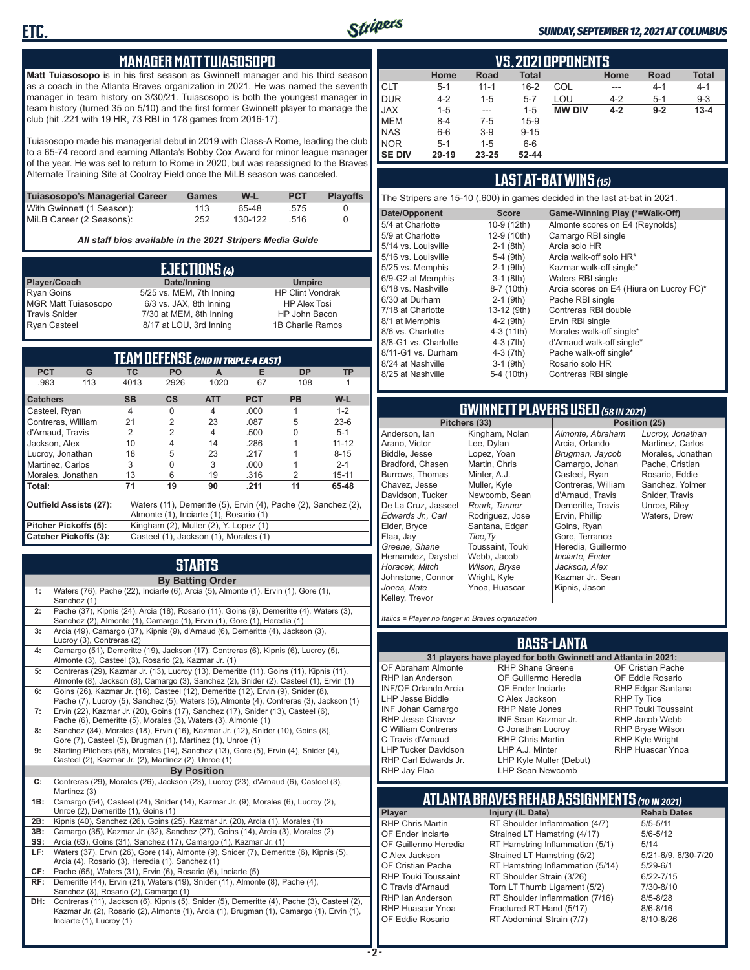

#### *SUNDAY, SEPTEMBER 12, 2021 AT COLUMBUS*

#### **MANAGER MATT TUIASOSOPO**

**Matt Tuiasosopo** is in his first season as Gwinnett manager and his third season as a coach in the Atlanta Braves organization in 2021. He was named the seventh manager in team history on 3/30/21. Tuiasosopo is both the youngest manager in team history (turned 35 on 5/10) and the first former Gwinnett player to manage the club (hit .221 with 19 HR, 73 RBI in 178 games from 2016-17).

Tuiasosopo made his managerial debut in 2019 with Class-A Rome, leading the club to a 65-74 record and earning Atlanta's Bobby Cox Award for minor league manager of the year. He was set to return to Rome in 2020, but was reassigned to the Braves Alternate Training Site at Coolray Field once the MiLB season was canceled.

| Tuiasosopo's Managerial Career | Games | W-L     | <b>PCT</b> | <b>Plavoffs</b> |
|--------------------------------|-------|---------|------------|-----------------|
| With Gwinnett (1 Season):      | 113.  | 65-48   | .575       |                 |
| MiLB Career (2 Seasons):       | 252   | 130-122 | - 516      |                 |

*All staff bios available in the 2021 Stripers Media Guide*

| EJECTIONS (4)              |                          |                         |  |
|----------------------------|--------------------------|-------------------------|--|
| Player/Coach               | Date/Inning              | <b>Umpire</b>           |  |
| <b>Ryan Goins</b>          | 5/25 vs. MEM, 7th Inning | <b>HP Clint Vondrak</b> |  |
| <b>MGR Matt Tuiasosopo</b> | 6/3 vs. JAX, 8th Inning  | <b>HP Alex Tosi</b>     |  |
| <b>Travis Snider</b>       | 7/30 at MEM, 8th Inning  | HP John Bacon           |  |
| <b>Ryan Casteel</b>        | 8/17 at LOU, 3rd Inning  | 1B Charlie Ramos        |  |

|                              |     |                | <b>TEAM DEFENSE (2ND IN TRIPLE-A EAST)</b> |                |            |                                                                |           |
|------------------------------|-----|----------------|--------------------------------------------|----------------|------------|----------------------------------------------------------------|-----------|
| <b>PCT</b>                   | G   | ТC             | PO                                         | A              | Е          | <b>DP</b>                                                      | <b>TP</b> |
| .983                         | 113 | 4013           | 2926                                       | 1020           | 67         | 108                                                            |           |
| <b>Catchers</b>              |     | <b>SB</b>      | $\mathsf{cs}$                              | <b>ATT</b>     | <b>PCT</b> | <b>PB</b>                                                      | W-L       |
| Casteel, Ryan                |     | $\overline{4}$ | $\Omega$                                   | $\overline{4}$ | .000       | 1                                                              | $1 - 2$   |
| Contreras, William           |     | 21             | $\overline{2}$                             | 23             | .087       | 5                                                              | $23-6$    |
| d'Arnaud, Travis             |     | 2              | $\overline{2}$                             | 4              | .500       | 0                                                              | $5 - 1$   |
| Jackson, Alex                |     | 10             | 4                                          | 14             | .286       |                                                                | $11 - 12$ |
| Lucroy, Jonathan             |     | 18             | 5                                          | 23             | .217       |                                                                | $8 - 15$  |
| Martinez, Carlos             |     | 3              | 0                                          | 3              | .000       |                                                                | $2 - 1$   |
| Morales, Jonathan            |     | 13             | 6                                          | 19             | .316       | 2                                                              | $15 - 11$ |
| Total:                       |     | 71             | 19                                         | 90             | .211       | 11                                                             | 65-48     |
| Outfield Assists (27):       |     |                |                                            |                |            | Waters (11), Demeritte (5), Ervin (4), Pache (2), Sanchez (2), |           |
|                              |     |                | Almonte (1), Inciarte (1), Rosario (1)     |                |            |                                                                |           |
| Pitcher Pickoffs (5):        |     |                | Kingham (2), Muller (2), Y. Lopez (1)      |                |            |                                                                |           |
| <b>Catcher Pickoffs (3):</b> |     |                | Casteel (1), Jackson (1), Morales (1)      |                |            |                                                                |           |

# **STARTS**

|     | <b>By Batting Order</b>                                                                                                                                                                  |
|-----|------------------------------------------------------------------------------------------------------------------------------------------------------------------------------------------|
| 1:  | Waters (76), Pache (22), Inciarte (6), Arcia (5), Almonte (1), Ervin (1), Gore (1),<br>Sanchez (1)                                                                                       |
| 2:  | Pache (37), Kipnis (24), Arcia (18), Rosario (11), Goins (9), Demeritte (4), Waters (3),<br>Sanchez (2), Almonte (1), Camargo (1), Ervin (1), Gore (1), Heredia (1)                      |
| 3:  | Arcia (49), Camargo (37), Kipnis (9), d'Arnaud (6), Demeritte (4), Jackson (3),<br>Lucroy (3), Contreras (2)                                                                             |
| 4:  | Camargo (51), Demeritte (19), Jackson (17), Contreras (6), Kipnis (6), Lucroy (5),<br>Almonte (3), Casteel (3), Rosario (2), Kazmar Jr. (1)                                              |
| 5:  | Contreras (29), Kazmar Jr. (13), Lucroy (13), Demeritte (11), Goins (11), Kipnis (11),<br>Almonte (8), Jackson (8), Camargo (3), Sanchez (2), Snider (2), Casteel (1), Ervin (1)         |
| 6:  | Goins (26), Kazmar Jr. (16), Casteel (12), Demeritte (12), Ervin (9), Snider (8),<br>Pache (7), Lucroy (5), Sanchez (5), Waters (5), Almonte (4), Contreras (3), Jackson (1)             |
| 7:  | Ervin (22), Kazmar Jr. (20), Goins (17), Sanchez (17), Snider (13), Casteel (6),<br>Pache (6), Demeritte (5), Morales (3), Waters (3), Almonte (1)                                       |
| 8:  | Sanchez (34), Morales (18), Ervin (16), Kazmar Jr. (12), Snider (10), Goins (8),<br>Gore (7), Casteel (5), Brugman (1), Martinez (1), Unroe (1)                                          |
| 9:  | Starting Pitchers (66), Morales (14), Sanchez (13), Gore (5), Ervin (4), Snider (4),<br>Casteel (2), Kazmar Jr. (2), Martinez (2), Unroe (1)                                             |
|     | <b>By Position</b>                                                                                                                                                                       |
| c:  | Contreras (29), Morales (26), Jackson (23), Lucroy (23), d'Arnaud (6), Casteel (3),<br>Martinez (3)                                                                                      |
| 1B: | Camargo (54), Casteel (24), Snider (14), Kazmar Jr. (9), Morales (6), Lucroy (2),<br>Unroe (2), Demeritte (1), Goins (1)                                                                 |
| 2B: | Kipnis (40), Sanchez (26), Goins (25), Kazmar Jr. (20), Arcia (1), Morales (1)                                                                                                           |
| 3B: | Camargo (35), Kazmar Jr. (32), Sanchez (27), Goins (14), Arcia (3), Morales (2)                                                                                                          |
| SS: | Arcia (63), Goins (31), Sanchez (17), Camargo (1), Kazmar Jr. (1)                                                                                                                        |
| LF: | Waters (37), Ervin (26), Gore (14), Almonte (9), Snider (7), Demeritte (6), Kipnis (5),<br>Arcia (4), Rosario (3), Heredia (1), Sanchez (1)                                              |
| CF: | Pache (65), Waters (31), Ervin (6), Rosario (6), Inciarte (5)                                                                                                                            |
| RF: | Demeritte (44), Ervin (21), Waters (19), Snider (11), Almonte (8), Pache (4),<br>Sanchez (3), Rosario (2), Camargo (1)                                                                   |
| DH: | Contreras (11), Jackson (6), Kipnis (5), Snider (5), Demeritte (4), Pache (3), Casteel (2),<br>Kazmar Jr. (2), Rosario (2), Almonte (1), Arcia (1), Brugman (1), Camargo (1), Ervin (1), |

Inciarte (1), Lucroy (1)

|               | <b>VS. 2021 OPPONENTS</b>                                           |          |           |               |         |         |          |  |  |  |  |  |  |  |
|---------------|---------------------------------------------------------------------|----------|-----------|---------------|---------|---------|----------|--|--|--|--|--|--|--|
|               | <b>Total</b><br><b>Road</b><br>Home<br><b>Total</b><br>Home<br>Road |          |           |               |         |         |          |  |  |  |  |  |  |  |
| <b>CLT</b>    | $5 - 1$                                                             | $11 - 1$ | $16 - 2$  | COL           | ---     | $4 - 1$ | $4 - 1$  |  |  |  |  |  |  |  |
| <b>DUR</b>    | $4 - 2$                                                             | $1 - 5$  | $5 - 7$   | LOU           | $4 - 2$ | $5 - 1$ | $9 - 3$  |  |  |  |  |  |  |  |
| <b>JAX</b>    | $1 - 5$                                                             | $- - -$  | $1 - 5$   | <b>MW DIV</b> | $4 - 2$ | $9-2$   | $13 - 4$ |  |  |  |  |  |  |  |
| <b>MEM</b>    | $8 - 4$                                                             | $7-5$    | $15-9$    |               |         |         |          |  |  |  |  |  |  |  |
| <b>NAS</b>    | $6-6$                                                               | $3-9$    | $9 - 15$  |               |         |         |          |  |  |  |  |  |  |  |
| <b>NOR</b>    | $5 - 1$                                                             | $1 - 5$  | $6-6$     |               |         |         |          |  |  |  |  |  |  |  |
| <b>SE DIV</b> | 29-19                                                               | 23-25    | $52 - 44$ |               |         |         |          |  |  |  |  |  |  |  |

#### **LAST AT-BAT WINS** *(15)*

The Stripers are 15-10 (.600) in games decided in the last at-bat in 2021.

| Date/Opponent        | <b>Score</b> | Game-Winning Play (*=Walk-Off)           |
|----------------------|--------------|------------------------------------------|
| 5/4 at Charlotte     | 10-9 (12th)  | Almonte scores on E4 (Reynolds)          |
| 5/9 at Charlotte     | 12-9 (10th)  | Camargo RBI single                       |
| 5/14 vs. Louisville  | $2-1$ (8th)  | Arcia solo HR                            |
| 5/16 vs. Louisville  | 5-4 (9th)    | Arcia walk-off solo HR*                  |
| 5/25 vs. Memphis     | $2-1$ (9th)  | Kazmar walk-off single*                  |
| 6/9-G2 at Memphis    | $3-1$ (8th)  | Waters RBI single                        |
| 6/18 vs. Nashville   | 8-7 (10th)   | Arcia scores on E4 (Hiura on Lucroy FC)* |
| 6/30 at Durham       | $2-1$ (9th)  | Pache RBI single                         |
| 7/18 at Charlotte    | 13-12 (9th)  | Contreras RBI double                     |
| 8/1 at Memphis       | $4-2$ (9th)  | Ervin RBI single                         |
| 8/6 vs. Charlotte    | 4-3 (11th)   | Morales walk-off single*                 |
| 8/8-G1 vs. Charlotte | $4-3(7th)$   | d'Arnaud walk-off single*                |
| 8/11-G1 vs. Durham   | $4-3$ (7th)  | Pache walk-off single*                   |
| 8/24 at Nashville    | $3-1$ (9th)  | Rosario solo HR                          |
| 8/25 at Nashville    | 5-4 (10th)   | Contreras RBI single                     |
|                      |              |                                          |

# **GWINNETT PLAYERS USED** *(58 IN 2021)*

**Pitchers (33)** Anderson, Ian Arano, Victor Biddle, Jesse Bradford, Chasen Burrows, Thomas Chavez, Jesse Davidson, Tucker De La Cruz, Jasseel *Edwards Jr., Carl* Elder, Bryce Flaa, Jay *Greene, Shane*  Hernandez, Daysbel *Horacek, Mitch* Johnstone, Connor *Jones, Nate* Kelley, Trevor Kingham, Nolan Lee, Dylan Lopez, Yoan Martin, Chris Minter, A.J. Muller, Kyle Newcomb, Sean *Roark, Tanner* Rodriguez, Jose Santana, Edgar *Tice,Ty* Toussaint, Touki Webb, Jacob *Wilson, Bryse* Wright, Kyle Ynoa, Huascar

*Almonte, Abraham* Arcia, Orlando *Brugman, Jaycob* Camargo, Johan Casteel, Ryan Contreras, William d'Arnaud, Travis Demeritte, Travis Ervin, Phillip Goins, Ryan Gore, Terrance Heredia, Guillermo *Inciarte, Ender Jackson, Alex* Kazmar Jr., Sean Kipnis, Jason

*Lucroy, Jonathan* Martinez, Carlos Morales, Jonathan Pache, Cristian Rosario, Eddie Sanchez, Yolmer Snider, Travis Unroe, Riley Waters, Drew

*Italics = Player no longer in Braves organization*

#### **BASS-LANTA**

#### OF Abraham Almonte RHP Ian Anderson INF/OF Orlando Arcia LHP Jesse Biddle INF Johan Camargo RHP Jesse Chavez RHP Shane Greene OF Guillermo Heredia OF Ender Inciarte C Alex Jackson RHP Nate Jones INF Sean Kazmar Jr.

C Jonathan Lucroy RHP Chris Martin LHP A.J. Minter LHP Kyle Muller (Debut) LHP Sean Newcomb

**31 players have played for both Gwinnett and Atlanta in 2021:** OF Cristian Pache OF Eddie Rosario RHP Edgar Santana RHP Ty Tice RHP Touki Toussaint RHP Jacob Webb RHP Bryse Wilson RHP Kyle Wright RHP Huascar Ynoa

# **ATLANTA BRAVES REHAB ASSIGNMENTS** *(10 IN 2021)*

**Player Injury (IL Date)** 

C William Contreras C Travis d'Arnaud LHP Tucker Davidson RHP Carl Edwards Jr. RHP Jay Flaa

RHP Chris Martin RT Shoulder Inflammation (4/7) 5/5-5/11<br>OF Ender Inciarte Strained LT Hamstring (4/17) 5/6-5/12 OF Ender Inciarte Strained LT Hamstring (4/17)<br>OF Guillermo Heredia RT Hamstring Inflammation (5) RT Hamstring Inflammation  $(5/1)$  5/14 C Alex Jackson Strained LT Hamstring (5/2) 5/21-6/9, 6/30-7/20 OF Cristian Pache RT Hamstring Inflammation (5/14) 5/29-6/1<br>RHP Touki Toussaint RT Shoulder Strain (3/26) 6/22-7/15 RHP Touki Toussaint RT Shoulder Strain (3/26) 6/22-7/15<br>C. Travis d'Arnaud C. Torn LT Thumb Ligament (5/2) 6/10-8/10 Torn LT Thumb Ligament (5/2) RHP Ian Anderson RT Shoulder Inflammation (7/16) 8/5-8/28<br>RHP Huascar Ynoa Fractured RT Hand (5/17) 8/6-8/16 RHP Huascar Ynoa Fractured RT Hand (5/17) 8/6-8/16 RT Abdominal Strain (7/7)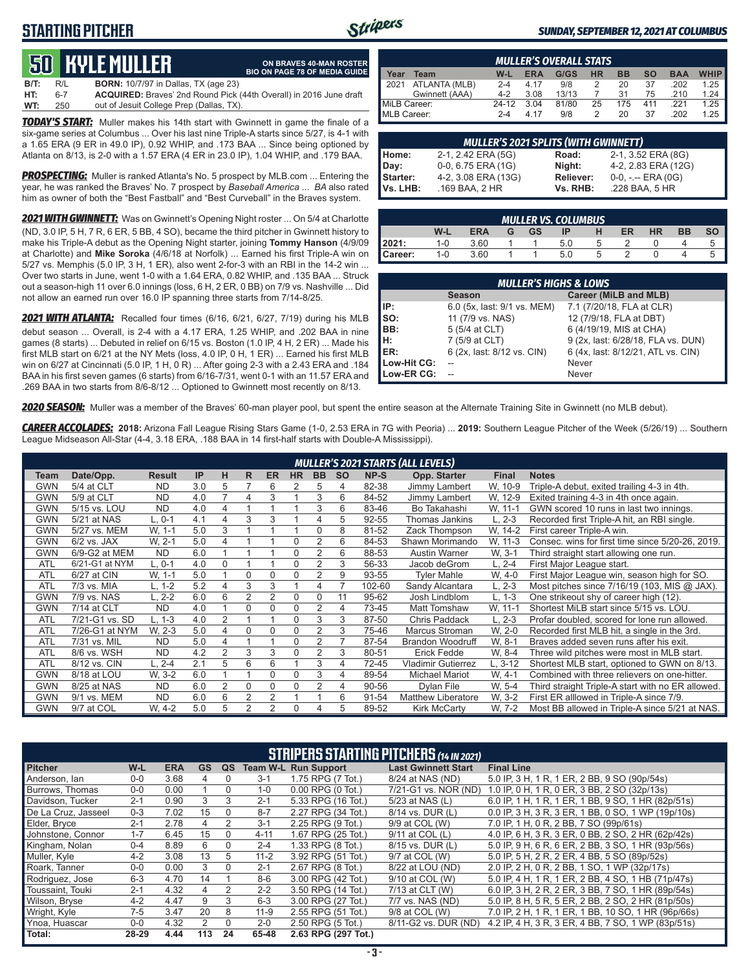## **STARTING PITCHER**



**ON BRAVES 40-MAN ROSTER BIO ON PAGE 78 OF MEDIA GUIDE**

#### *SUNDAY, SEPTEMBER 12, 2021 AT COLUMBUS*

# **50****KYLE MULLER**

**B/T:** R/L **BORN:** 10/7/97 in Dallas, TX (age 23) **HT:** 6-7 **ACQUIRED:** Braves' 2nd Round Pick (44th Overall) in 2016 June draft out of Jesuit College Prep (Dallas, TX)

*TODAY'S START:* Muller makes his 14th start with Gwinnett in game the finale of a six-game series at Columbus ... Over his last nine Triple-A starts since 5/27, is 4-1 with a 1.65 ERA (9 ER in 49.0 IP), 0.92 WHIP, and .173 BAA ... Since being optioned by Atlanta on 8/13, is 2-0 with a 1.57 ERA (4 ER in 23.0 IP), 1.04 WHIP, and .179 BAA.

*PROSPECTING:* Muller is ranked Atlanta's No. 5 prospect by MLB.com ... Entering the year, he was ranked the Braves' No. 7 prospect by *Baseball America* ... *BA* also rated him as owner of both the "Best Fastball" and "Best Curveball" in the Braves system.

*2021 WITH GWINNETT:* Was on Gwinnett's Opening Night roster ... On 5/4 at Charlotte (ND, 3.0 IP, 5 H, 7 R, 6 ER, 5 BB, 4 SO), became the third pitcher in Gwinnett history to make his Triple-A debut as the Opening Night starter, joining **Tommy Hanson** (4/9/09 at Charlotte) and **Mike Soroka** (4/6/18 at Norfolk) ... Earned his first Triple-A win on 5/27 vs. Memphis (5.0 IP, 3 H, 1 ER), also went 2-for-3 with an RBI in the 14-2 win ... Over two starts in June, went 1-0 with a 1.64 ERA, 0.82 WHIP, and .135 BAA ... Struck out a season-high 11 over 6.0 innings (loss, 6 H, 2 ER, 0 BB) on 7/9 vs. Nashville ... Did not allow an earned run over 16.0 IP spanning three starts from 7/14-8/25.

*2021 WITH ATLANTA:* Recalled four times (6/16, 6/21, 6/27, 7/19) during his MLB debut season ... Overall, is 2-4 with a 4.17 ERA, 1.25 WHIP, and .202 BAA in nine games (8 starts) ... Debuted in relief on 6/15 vs. Boston (1.0 IP, 4 H, 2 ER) ... Made his first MLB start on 6/21 at the NY Mets (loss, 4.0 IP, 0 H, 1 ER) ... Earned his first MLB win on 6/27 at Cincinnati (5.0 IP, 1 H, 0 R) ... After going 2-3 with a 2.43 ERA and .184 BAA in his first seven games (6 starts) from 6/16-7/31, went 0-1 with an 11.57 ERA and .269 BAA in two starts from 8/6-8/12 ... Optioned to Gwinnett most recently on 8/13.

|              | <b>MULLER'S OVERALL STATS</b> |         |            |       |           |           |           |            |             |  |  |  |  |
|--------------|-------------------------------|---------|------------|-------|-----------|-----------|-----------|------------|-------------|--|--|--|--|
| Year         | Team                          | $W-L$   | <b>ERA</b> | G/GS  | <b>HR</b> | <b>BB</b> | <b>SO</b> | <b>BAA</b> | <b>WHIP</b> |  |  |  |  |
| 2021         | ATLANTA (MLB)                 | $2 - 4$ | 4.17       | 9/8   |           | 20        | 37        | .202       | 1.25        |  |  |  |  |
|              | Gwinnett (AAA)                | $4 - 2$ | 3.08       | 13/13 |           | 31        | 75        | .210       | 1.24        |  |  |  |  |
| MiLB Career: |                               | $24-12$ | 3.04       | 81/80 | 25        | 175       | 411       | 221        | 1.25        |  |  |  |  |
| MLB Career:  |                               | $2 - 4$ | 4 17       | 9/8   |           | 20        | 37        | .202       | 1.25        |  |  |  |  |

|          | <b>MULLER'S 2021 SPLITS (WITH GWINNETT)</b> |           |                       |  |  |  |  |  |  |  |  |  |
|----------|---------------------------------------------|-----------|-----------------------|--|--|--|--|--|--|--|--|--|
| Home:    | 2-1, 2.42 ERA (5G)                          | Road:     | 2-1, 3.52 ERA (8G)    |  |  |  |  |  |  |  |  |  |
| Day:     | 0-0, 6.75 ERA (1G)                          | Night:    | 4-2, 2.83 ERA (12G)   |  |  |  |  |  |  |  |  |  |
| Starter: | 4-2, 3.08 ERA (13G)                         | Reliever: | $0-0, - -$ ERA $(0G)$ |  |  |  |  |  |  |  |  |  |
| Vs. LHB: | .169 BAA, 2 HR                              | Vs. RHB:  | .228 BAA, 5 HR        |  |  |  |  |  |  |  |  |  |

|                | <b>MULLER VS. COLUMBUS</b> |            |   |           |     |              |    |    |           |  |  |  |  |  |
|----------------|----------------------------|------------|---|-----------|-----|--------------|----|----|-----------|--|--|--|--|--|
|                | W-L                        | <b>ERA</b> | G | <b>GS</b> | IP  | н            | ER | HR | <b>BB</b> |  |  |  |  |  |
| 2021:          | 1-0                        | 3.60       |   |           | 5.0 | <sub>5</sub> |    |    |           |  |  |  |  |  |
| <b>Career:</b> | $1 - 0$                    | 3.60       |   |           | 5.0 | b            |    |    |           |  |  |  |  |  |

|             | <b>MULLER'S HIGHS &amp; LOWS</b> |                                    |  |  |  |  |  |  |  |  |  |  |
|-------------|----------------------------------|------------------------------------|--|--|--|--|--|--|--|--|--|--|
|             | <b>Season</b>                    | Career (MiLB and MLB)              |  |  |  |  |  |  |  |  |  |  |
| IIP:        | 6.0 (5x, last: 9/1 vs. MEM)      | 7.1 (7/20/18, FLA at CLR)          |  |  |  |  |  |  |  |  |  |  |
| Iso:        | 11 (7/9 vs. NAS)                 | 12 (7/9/18, FLA at DBT)            |  |  |  |  |  |  |  |  |  |  |
| BB:         | 5 (5/4 at CLT)                   | 6 (4/19/19, MIS at CHA)            |  |  |  |  |  |  |  |  |  |  |
| IH:         | 7 (5/9 at CLT)                   | 9 (2x, last: 6/28/18, FLA vs. DUN) |  |  |  |  |  |  |  |  |  |  |
| <b>IER:</b> | 6 (2x, last: 8/12 vs. CIN)       | 6 (4x, last: 8/12/21, ATL vs. CIN) |  |  |  |  |  |  |  |  |  |  |
| Low-Hit CG: |                                  | Never                              |  |  |  |  |  |  |  |  |  |  |
| Low-ER CG:  |                                  | Never                              |  |  |  |  |  |  |  |  |  |  |

*2020 SEASON:* Muller was a member of the Braves' 60-man player pool, but spent the entire season at the Alternate Training Site in Gwinnett (no MLB debut).

*CAREER ACCOLADES:* **2018:** Arizona Fall League Rising Stars Game (1-0, 2.53 ERA in 7G with Peoria) ... **2019:** Southern League Pitcher of the Week (5/26/19) ... Southern League Midseason All-Star (4-4, 3.18 ERA, .188 BAA in 14 first-half starts with Double-A Mississippi).

|            |                |               |     |                |                |                |             |                |           |        | <b>MULLER'S 2021 STARTS (ALL LEVELS)</b> |              |                                                   |
|------------|----------------|---------------|-----|----------------|----------------|----------------|-------------|----------------|-----------|--------|------------------------------------------|--------------|---------------------------------------------------|
| Team       | Date/Opp.      | <b>Result</b> | IP  | н              | R              | <b>ER</b>      | <b>HR</b>   | <b>BB</b>      | <b>SO</b> | NP-S   | Opp. Starter                             | <b>Final</b> | <b>Notes</b>                                      |
| <b>GWN</b> | 5/4 at CLT     | <b>ND</b>     | 3.0 | 5              |                | 6              | 2           | 5              | 4         | 82-38  | Jimmy Lambert                            | W. 10-9      | Triple-A debut, exited trailing 4-3 in 4th.       |
| <b>GWN</b> | 5/9 at CLT     | <b>ND</b>     | 4.0 | $\overline{ }$ | 4              | 3              |             | 3              | 6         | 84-52  | Jimmy Lambert                            | W, 12-9      | Exited training 4-3 in 4th once again.            |
| <b>GWN</b> | 5/15 vs. LOU   | <b>ND</b>     | 4.0 | 4              |                |                |             | 3              | 6         | 83-46  | Bo Takahashi                             | W. 11-1      | GWN scored 10 runs in last two innings.           |
| <b>GWN</b> | 5/21 at NAS    | $L, 0-1$      | 4.1 | 4              | 3              | З              |             | 4              | 5         | 92-55  | Thomas Jankins                           | $L, 2-3$     | Recorded first Triple-A hit, an RBI single.       |
| <b>GWN</b> | 5/27 vs. MEM   | W. 1-1        | 5.0 | 3              |                |                |             | $\Omega$       | 8         | 81-52  | Zack Thompson                            | W. 14-2      | First career Triple-A win.                        |
| <b>GWN</b> | $6/2$ vs. JAX  | W. 2-1        | 5.0 | 4              |                |                | $\Omega$    | 2              | 6         | 84-53  | Shawn Morimando                          | W. 11-3      | Consec. wins for first time since 5/20-26, 2019.  |
| <b>GWN</b> | 6/9-G2 at MEM  | <b>ND</b>     | 6.0 |                |                |                | $\Omega$    | $\overline{2}$ | 6         | 88-53  | Austin Warner                            | W. 3-1       | Third straight start allowing one run.            |
| <b>ATL</b> | 6/21-G1 at NYM | L, 0-1        | 4.0 | 0              |                |                | 0           | $\overline{2}$ | 3         | 56-33  | Jacob deGrom                             | $L, 2-4$     | First Major League start.                         |
| <b>ATL</b> | 6/27 at CIN    | W, 1-1        | 5.0 |                | $\Omega$       | $\Omega$       | $\Omega$    | $\overline{2}$ | 9         | 93-55  | <b>Tyler Mahle</b>                       | W, 4-0       | First Major League win, season high for SO.       |
| <b>ATL</b> | 7/3 vs. MIA    | L, 1-2        | 5.2 | 4              | 3              | 3              |             | 4              |           | 102-60 | Sandy Alcantara                          | L. 2-3       | Most pitches since 7/16/19 (103, MIS @ JAX).      |
| <b>GWN</b> | 7/9 vs. NAS    | L, 2-2        | 6.0 | 6              | $\overline{2}$ | $\mathfrak{p}$ | 0           | $\Omega$       | 11        | 95-62  | Josh Lindblom                            | $L, 1-3$     | One strikeout shy of career high (12).            |
| <b>GWN</b> | 7/14 at CLT    | <b>ND</b>     | 4.0 |                | $\Omega$       | $\Omega$       | $\Omega$    | 2              | 4         | 73-45  | Matt Tomshaw                             | W, 11-1      | Shortest MiLB start since 5/15 vs. LOU.           |
| <b>ATL</b> | 7/21-G1 vs. SD | $L. 1-3$      | 4.0 | $\overline{2}$ |                |                | 0           | 3              | 3         | 87-50  | Chris Paddack                            | $L, 2-3$     | Profar doubled, scored for lone run allowed.      |
| <b>ATL</b> | 7/26-G1 at NYM | W. 2-3        | 5.0 | 4              | $\Omega$       | $\Omega$       | $\Omega$    | $\overline{2}$ | 3         | 75-46  | <b>Marcus Stroman</b>                    | W. 2-0       | Recorded first MLB hit, a single in the 3rd.      |
| <b>ATL</b> | 7/31 vs. MIL   | <b>ND</b>     | 5.0 | 4              |                |                | $\Omega$    |                |           | 87-54  | <b>Brandon Woodruff</b>                  | W. 8-1       | Braves added seven runs after his exit.           |
| <b>ATL</b> | 8/6 vs. WSH    | <b>ND</b>     | 4.2 | $\overline{2}$ | 3              | 3              | $\Omega$    | $\overline{2}$ | 3         | 80-51  | Erick Fedde                              | W. 8-4       | Three wild pitches were most in MLB start.        |
| <b>ATL</b> | 8/12 vs. CIN   | $L, 2-4$      | 2.1 | 5              | 6              | 6              |             | 3              | 4         | 72-45  | <b>Vladimir Gutierrez</b>                | $L, 3-12$    | Shortest MLB start, optioned to GWN on 8/13.      |
| <b>GWN</b> | 8/18 at LOU    | W. 3-2        | 6.0 |                |                | $\Omega$       | $\mathbf 0$ | 3              | 4         | 89-54  | <b>Michael Mariot</b>                    | W. 4-1       | Combined with three relievers on one-hitter.      |
| <b>GWN</b> | 8/25 at NAS    | <b>ND</b>     | 6.0 | $\overline{2}$ | $\Omega$       | $\Omega$       | 0           | $\overline{2}$ | 4         | 90-56  | Dylan File                               | W. 5-4       | Third straight Triple-A start with no ER allowed. |
| <b>GWN</b> | 9/1 vs. MEM    | <b>ND</b>     | 6.0 | 6              | $\overline{2}$ | $\overline{2}$ |             |                | 6         | 91-54  | Matthew Liberatore                       | W. 3-2       | First ER alllowed in Triple-A since 7/9.          |
| GWN        | 9/7 at COL     | W. 4-2        | 5.0 | 5              | $\overline{2}$ | 2              | $\Omega$    | 4              | 5         | 89-52  | <b>Kirk McCarty</b>                      | W. 7-2       | Most BB allowed in Triple-A since 5/21 at NAS.    |

|                     | <b>STRIPERS STARTING PITCHERS (14 IN 2021)</b> |            |           |              |          |                             |                            |                                                     |  |  |  |  |  |
|---------------------|------------------------------------------------|------------|-----------|--------------|----------|-----------------------------|----------------------------|-----------------------------------------------------|--|--|--|--|--|
| <b>Pitcher</b>      | W-L                                            | <b>ERA</b> | <b>GS</b> | QS           |          | <b>Team W-L Run Support</b> | <b>Last Gwinnett Start</b> | <b>Final Line</b>                                   |  |  |  |  |  |
| Anderson, Ian       | $0-0$                                          | 3.68       | 4         | $\mathbf{U}$ | $3 - 1$  | 1.75 RPG (7 Tot.)           | 8/24 at NAS (ND)           | 5.0 IP, 3 H, 1 R, 1 ER, 2 BB, 9 SO (90p/54s)        |  |  |  |  |  |
| Burrows, Thomas     | $0 - 0$                                        | 0.00       |           | 0            | $1 - 0$  | 0.00 RPG (0 Tot.)           | 7/21-G1 vs. NOR (ND)       | 1.0 IP, 0 H, 1 R, 0 ER, 3 BB, 2 SO (32p/13s)        |  |  |  |  |  |
| Davidson, Tucker    | $2 - 1$                                        | 0.90       | 3         | 3            | $2 - 1$  | 5.33 RPG (16 Tot.)          | 5/23 at NAS (L)            | 6.0 IP, 1 H, 1 R, 1 ER, 1 BB, 9 SO, 1 HR (82p/51s)  |  |  |  |  |  |
| De La Cruz, Jasseel | $0 - 3$                                        | 7.02       | 15        | $\Omega$     | $8 - 7$  | 2.27 RPG (34 Tot.)          | 8/14 vs. DUR (L)           | 0.0 IP, 3 H, 3 R, 3 ER, 1 BB, 0 SO, 1 WP (19p/10s)  |  |  |  |  |  |
| Elder, Bryce        | $2 - 1$                                        | 2.78       | 4         |              | $3 - 1$  | 2.25 RPG (9 Tot.)           | 9/9 at COL (W)             | 7.0 IP, 1 H, 0 R, 2 BB, 7 SO (99p/61s)              |  |  |  |  |  |
| Johnstone, Connor   | $1 - 7$                                        | 6.45       | 15        | 0            | $4 - 11$ | 1.67 RPG (25 Tot.)          | 9/11 at COL (L)            | 4.0 IP, 6 H, 3 R, 3 ER, 0 BB, 2 SO, 2 HR (62p/42s)  |  |  |  |  |  |
| Kingham, Nolan      | $0 - 4$                                        | 8.89       | 6         | 0            | $2 - 4$  | 1.33 RPG (8 Tot.)           | 8/15 vs. DUR (L)           | 5.0 IP, 9 H, 6 R, 6 ER, 2 BB, 3 SO, 1 HR (93p/56s)  |  |  |  |  |  |
| Muller, Kyle        | $4 - 2$                                        | 3.08       | 13        | 5            | $11 - 2$ | 3.92 RPG (51 Tot.)          | 9/7 at COL (W)             | 5.0 IP, 5 H, 2 R, 2 ER, 4 BB, 5 SO (89p/52s)        |  |  |  |  |  |
| Roark, Tanner       | $0 - 0$                                        | 0.00       | 3         | 0            | $2 - 1$  | 2.67 RPG (8 Tot.)           | 8/22 at LOU (ND)           | 2.0 IP, 2 H, 0 R, 2 BB, 1 SO, 1 WP (32p/17s)        |  |  |  |  |  |
| Rodriguez, Jose     | $6 - 3$                                        | 4.70       | 14        |              | $8-6$    | 3.00 RPG (42 Tot.)          | 9/10 at COL (W)            | 5.0 IP, 4 H, 1 R, 1 ER, 2 BB, 4 SO, 1 HB (71p/47s)  |  |  |  |  |  |
| Toussaint. Touki    | $2 - 1$                                        | 4.32       | 4         | 2            | $2 - 2$  | 3.50 RPG (14 Tot.)          | 7/13 at CLT (W)            | 6.0 IP, 3 H, 2 R, 2 ER, 3 BB, 7 SO, 1 HR (89p/54s)  |  |  |  |  |  |
| Wilson, Bryse       | $4 - 2$                                        | 4.47       | 9         | 3            | $6 - 3$  | 3.00 RPG (27 Tot.)          | 7/7 vs. NAS (ND)           | 5.0 IP, 8 H, 5 R, 5 ER, 2 BB, 2 SO, 2 HR (81p/50s)  |  |  |  |  |  |
| Wright, Kyle        | 7-5                                            | 3.47       | 20        | 8            | $11 - 9$ | 2.55 RPG (51 Tot.)          | 9/8 at COL (W)             | 7.0 IP, 2 H, 1 R, 1 ER, 1 BB, 10 SO, 1 HR (96p/66s) |  |  |  |  |  |
| Ynoa, Huascar       | $0 - 0$                                        | 4.32       |           | 0            | $2 - 0$  | 2.50 RPG (5 Tot.)           | 8/11-G2 vs. DUR (ND)       | 4.2 IP, 4 H, 3 R, 3 ER, 4 BB, 7 SO, 1 WP (83p/51s)  |  |  |  |  |  |
| Total:              | 28-29                                          | 4.44       | 113       | 24           | 65-48    | 2.63 RPG (297 Tot.)         |                            |                                                     |  |  |  |  |  |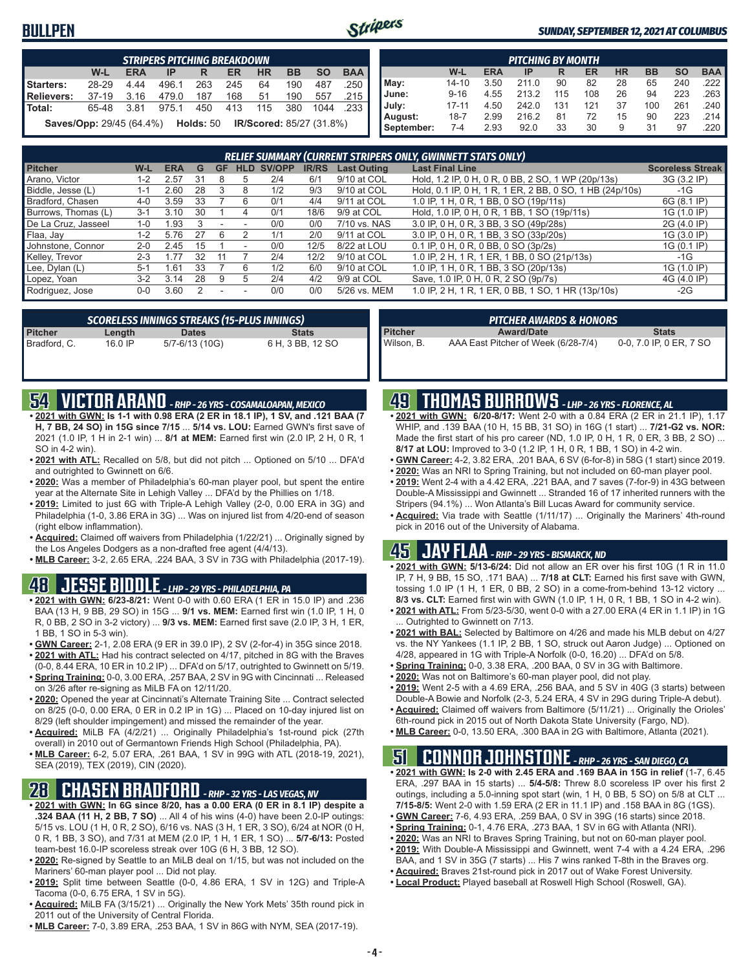## **BULLPEN**



#### *SUNDAY, SEPTEMBER 12, 2021 AT COLUMBUS*

|                 |                                                                              |            | <b>STRIPERS PITCHING BREAKDOWN</b> |     |     |           |           |           |                       |  |  |  |
|-----------------|------------------------------------------------------------------------------|------------|------------------------------------|-----|-----|-----------|-----------|-----------|-----------------------|--|--|--|
|                 | W-L                                                                          | <b>ERA</b> | IP                                 | R   | ER  | <b>HR</b> | <b>BB</b> | <b>SO</b> | <b>BAA</b>            |  |  |  |
| Starters:       | 28-29                                                                        | 4.44       | 496.1                              | 263 | 245 | 64        | 190       | 487       | .250                  |  |  |  |
| Relievers:      | $37-19$                                                                      | 3.16       | 479.0                              | 187 | 168 | 51        | 190       | 557       | .215                  |  |  |  |
| <b>I</b> Total: | 65-48                                                                        | 3.81       | 975.1                              | 450 | 413 | 115       | 380       | 1044      | $.233$ $\blacksquare$ |  |  |  |
|                 | <b>Saves/Opp: 29/45 (64.4%) Holds: 50</b><br><b>IR/Scored: 85/27 (31.8%)</b> |            |                                    |     |     |           |           |           |                       |  |  |  |

|            |           |            | <b>PITCHING BY MONTH</b> |     |     |           |           |           |                       |
|------------|-----------|------------|--------------------------|-----|-----|-----------|-----------|-----------|-----------------------|
|            | W-L       | <b>ERA</b> | IP                       | R   | ER  | <b>HR</b> | <b>BB</b> | <b>SO</b> | <b>BAA</b>            |
| May:       | $14 - 10$ | 3.50       | 211.0                    | 90  | 82  | 28        | 65        | 240       | .222 I                |
| June:      | $9 - 16$  | 4.55       | 213.2                    | 115 | 108 | 26        | 94        | 223       | $.263$ $\blacksquare$ |
| July:      | $17 - 11$ | 4.50       | 242.0                    | 131 | 121 | 37        | 100       | 261       | .240                  |
| August:    | $18 - 7$  | 2.99       | 216.2                    | 81  | 72  | 15        | 90        | 223       | .214 I                |
| September: | 7-4       | 2.93       | 92.0                     | 33  | 30  | 9         | 31        | 97        | .220                  |

| RELIEF SUMMARY (CURRENT STRIPERS ONLY, GWINNETT STATS ONLY) |         |            |    |    |                          |        |              |                    |                                                          |                         |
|-------------------------------------------------------------|---------|------------|----|----|--------------------------|--------|--------------|--------------------|----------------------------------------------------------|-------------------------|
| <b>Pitcher</b>                                              | W-L     | <b>ERA</b> | G  | GF | <b>HLD</b>               | SV/OPP | <b>IR/RS</b> | <b>Last Outing</b> | <b>Last Final Line</b>                                   | <b>Scoreless Streak</b> |
| Arano, Victor                                               | 1-2     | 2.57       | 31 |    |                          | 2/4    | 6/1          | 9/10 at COL        | Hold, 1.2 IP, 0 H, 0 R, 0 BB, 2 SO, 1 WP (20p/13s)       | 3G (3.2 IP)             |
| Biddle, Jesse (L)                                           | 1-1     | 2.60       | 28 | 3  | 8                        | 1/2    | 9/3          | 9/10 at COL        | Hold, 0.1 IP, 0 H, 1 R, 1 ER, 2 BB, 0 SO, 1 HB (24p/10s) | -1G                     |
| Bradford, Chasen                                            | $4 - 0$ | 3.59       | 33 |    |                          | 0/1    | 4/4          | 9/11 at COL        | 1.0 IP, 1 H, 0 R, 1 BB, 0 SO (19p/11s)                   | 6G (8.1 IP)             |
| Burrows, Thomas (L)                                         | $3 - 1$ | 3.10       | 30 |    |                          | 0/1    | 18/6         | 9/9 at COL         | Hold, 1.0 IP, 0 H, 0 R, 1 BB, 1 SO (19p/11s)             | 1G (1.0 IP)             |
| De La Cruz, Jasseel                                         | $1 - 0$ | .93        |    |    | $\overline{\phantom{a}}$ | 0/0    | 0/0          | 7/10 vs. NAS       | 3.0 IP, 0 H, 0 R, 3 BB, 3 SO (49p/28s)                   | 2G (4.0 IP)             |
| Flaa, Jay                                                   | 1-2     | 5.76       | 27 | h  |                          | 1/1    | 2/0          | 9/11 at COL        | 3.0 IP, 0 H, 0 R, 1 BB, 3 SO (33p/20s)                   | 1G (3.0 IP)             |
| Johnstone, Connor                                           | $2 - 0$ | 2.45       | 15 |    |                          | 0/0    | 12/5         | 8/22 at LOU        | 0.1 IP, 0 H, 0 R, 0 BB, 0 SO (3p/2s)                     | 1G (0.1 IP)             |
| Kelley, Trevor                                              | $2 - 3$ | 77         | 32 |    |                          | 2/4    | 12/2         | 9/10 at COL        | 1.0 IP, 2 H, 1 R, 1 ER, 1 BB, 0 SO (21p/13s)             | $-1G$                   |
| Lee, Dylan (L)                                              | $5-1$   | .61        | 33 |    | 6                        | 1/2    | 6/0          | 9/10 at COL        | 1.0 IP, 1 H, 0 R, 1 BB, 3 SO (20p/13s)                   | 1G (1.0 IP)             |
| Lopez, Yoan                                                 | $3-2$   | 3.14       | 28 | g  |                          | 2/4    | 4/2          | 9/9 at COL         | Save, 1.0 IP, 0 H, 0 R, 2 SO (9p/7s)                     | 4G (4.0 IP)             |
| Rodriguez, Jose                                             | $0-0$   | 3.60       |    |    |                          | 0/0    | 0/0          | 5/26 vs. MEM       | 1.0 IP, 2 H, 1 R, 1 ER, 0 BB, 1 SO, 1 HR (13p/10s)       | $-2G$                   |

| SCORELESS INNINGS STREAKS (15-PLUS INNINGS) |         |                |                  |  |  |  |  |  |
|---------------------------------------------|---------|----------------|------------------|--|--|--|--|--|
| Pitcher                                     | Length  | <b>Dates</b>   | <b>Stats</b>     |  |  |  |  |  |
| Bradford, C.                                | 16.0 IP | 5/7-6/13 (10G) | 6 H, 3 BB, 12 SO |  |  |  |  |  |

| <b>PITCHER AWARDS &amp; HONORS</b> |                                     |                         |  |  |  |  |  |  |
|------------------------------------|-------------------------------------|-------------------------|--|--|--|--|--|--|
| Pitcher<br>Wilson, B.              | <b>Award/Date</b>                   | <b>Stats</b>            |  |  |  |  |  |  |
|                                    | AAA East Pitcher of Week (6/28-7/4) | 0-0, 7.0 IP, 0 ER, 7 SO |  |  |  |  |  |  |

## **54 VICTOR ARANO** *- RHP - 26 YRS - COSAMALOAPAN, MEXICO*

- **• 2021 with GWN: Is 1-1 with 0.98 ERA (2 ER in 18.1 IP), 1 SV, and .121 BAA (7 H, 7 BB, 24 SO) in 15G since 7/15** ... **5/14 vs. LOU:** Earned GWN's first save of 2021 (1.0 IP, 1 H in 2-1 win) ... **8/1 at MEM:** Earned first win (2.0 IP, 2 H, 0 R, 1 SO in 4-2 win).
- **• 2021 with ATL:** Recalled on 5/8, but did not pitch ... Optioned on 5/10 ... DFA'd and outrighted to Gwinnett on 6/6.
- **• 2020:** Was a member of Philadelphia's 60-man player pool, but spent the entire year at the Alternate Site in Lehigh Valley ... DFA'd by the Phillies on 1/18.
- **• 2019:** Limited to just 6G with Triple-A Lehigh Valley (2-0, 0.00 ERA in 3G) and Philadelphia (1-0, 3.86 ERA in 3G) ... Was on injured list from 4/20-end of season (right elbow inflammation).
- **• Acquired:** Claimed off waivers from Philadelphia (1/22/21) ... Originally signed by the Los Angeles Dodgers as a non-drafted free agent (4/4/13).
- **• MLB Career:** 3-2, 2.65 ERA, .224 BAA, 3 SV in 73G with Philadelphia (2017-19).

## **48 JESSE BIDDLE** *- LHP - 29 YRS - PHILADELPHIA, PA*

- **• 2021 with GWN: 6/23-8/21:** Went 0-0 with 0.60 ERA (1 ER in 15.0 IP) and .236 BAA (13 H, 9 BB, 29 SO) in 15G ... **9/1 vs. MEM:** Earned first win (1.0 IP, 1 H, 0 R, 0 BB, 2 SO in 3-2 victory) ... **9/3 vs. MEM:** Earned first save (2.0 IP, 3 H, 1 ER, 1 BB, 1 SO in 5-3 win).
- **• GWN Career:** 2-1, 2.08 ERA (9 ER in 39.0 IP), 2 SV (2-for-4) in 35G since 2018. **• 2021 with ATL:** Had his contract selected on 4/17, pitched in 8G with the Braves
- (0-0, 8.44 ERA, 10 ER in 10.2 IP) ... DFA'd on 5/17, outrighted to Gwinnett on 5/19. **• Spring Training:** 0-0, 3.00 ERA, .257 BAA, 2 SV in 9G with Cincinnati ... Released on 3/26 after re-signing as MiLB FA on 12/11/20.
- **• 2020:** Opened the year at Cincinnati's Alternate Training Site ... Contract selected on 8/25 (0-0, 0.00 ERA, 0 ER in 0.2 IP in 1G) ... Placed on 10-day injured list on 8/29 (left shoulder impingement) and missed the remainder of the year.
- **• Acquired:** MiLB FA (4/2/21) ... Originally Philadelphia's 1st-round pick (27th overall) in 2010 out of Germantown Friends High School (Philadelphia, PA).
- **• MLB Career:** 6-2, 5.07 ERA, .261 BAA, 1 SV in 99G with ATL (2018-19, 2021), SEA (2019), TEX (2019), CIN (2020).

## **28 CHASEN BRADFORD** *- RHP - 32 YRS - LAS VEGAS, NV*

- **• 2021 with GWN: In 6G since 8/20, has a 0.00 ERA (0 ER in 8.1 IP) despite a .324 BAA (11 H, 2 BB, 7 SO)** ... All 4 of his wins (4-0) have been 2.0-IP outings: 5/15 vs. LOU (1 H, 0 R, 2 SO), 6/16 vs. NAS (3 H, 1 ER, 3 SO), 6/24 at NOR (0 H, 0 R, 1 BB, 3 SO), and 7/31 at MEM (2.0 IP, 1 H, 1 ER, 1 SO) ... **5/7-6/13:** Posted team-best 16.0-IP scoreless streak over 10G (6 H, 3 BB, 12 SO).
- **• 2020:** Re-signed by Seattle to an MiLB deal on 1/15, but was not included on the Mariners' 60-man player pool ... Did not play.
- **• 2019:** Split time between Seattle (0-0, 4.86 ERA, 1 SV in 12G) and Triple-A Tacoma (0-0, 6.75 ERA, 1 SV in 5G).
- **• Acquired:** MiLB FA (3/15/21) ... Originally the New York Mets' 35th round pick in 2011 out of the University of Central Florida.
- **• MLB Career:** 7-0, 3.89 ERA, .253 BAA, 1 SV in 86G with NYM, SEA (2017-19).

## **49 THOMAS BURROWS** *- LHP - 26 YRS - FLORENCE, AL*

- **• 2021 with GWN: 6/20-8/17:** Went 2-0 with a 0.84 ERA (2 ER in 21.1 IP), 1.17 WHIP, and .139 BAA (10 H, 15 BB, 31 SO) in 16G (1 start) ... **7/21-G2 vs. NOR:** Made the first start of his pro career (ND, 1.0 IP, 0 H, 1 R, 0 ER, 3 BB, 2 SO) ... **8/17 at LOU:** Improved to 3-0 (1.2 IP, 1 H, 0 R, 1 BB, 1 SO) in 4-2 win.
- **• GWN Career:** 4-2, 3.82 ERA, .201 BAA, 6 SV (6-for-8) in 58G (1 start) since 2019.
- **• 2020:** Was an NRI to Spring Training, but not included on 60-man player pool.
- **• 2019:** Went 2-4 with a 4.42 ERA, .221 BAA, and 7 saves (7-for-9) in 43G between Double-A Mississippi and Gwinnett ... Stranded 16 of 17 inherited runners with the Stripers (94.1%) ... Won Atlanta's Bill Lucas Award for community service.
- **• Acquired:** Via trade with Seattle (1/11/17) ... Originally the Mariners' 4th-round pick in 2016 out of the University of Alabama.

## **45 JAY FLAA** *- RHP - 29 YRS - BISMARCK, ND*

- **• 2021 with GWN: 5/13-6/24:** Did not allow an ER over his first 10G (1 R in 11.0 IP, 7 H, 9 BB, 15 SO, .171 BAA) ... **7/18 at CLT:** Earned his first save with GWN, tossing 1.0 IP (1 H, 1 ER, 0 BB, 2 SO) in a come-from-behind 13-12 victory ... **8/3 vs. CLT:** Earned first win with GWN (1.0 IP, 1 H, 0 R, 1 BB, 1 SO in 4-2 win).
- **• 2021 with ATL:** From 5/23-5/30, went 0-0 with a 27.00 ERA (4 ER in 1.1 IP) in 1G ... Outrighted to Gwinnett on 7/13.
- **• 2021 with BAL:** Selected by Baltimore on 4/26 and made his MLB debut on 4/27 vs. the NY Yankees (1.1 IP, 2 BB, 1 SO, struck out Aaron Judge) ... Optioned on 4/28, appeared in 1G with Triple-A Norfolk (0-0, 16.20) ... DFA'd on 5/8.
- **• Spring Training:** 0-0, 3.38 ERA, .200 BAA, 0 SV in 3G with Baltimore.
- **• 2020:** Was not on Baltimore's 60-man player pool, did not play.
- **• 2019:** Went 2-5 with a 4.69 ERA, .256 BAA, and 5 SV in 40G (3 starts) between Double-A Bowie and Norfolk (2-3, 5.24 ERA, 4 SV in 29G during Triple-A debut).
- **• Acquired:** Claimed off waivers from Baltimore (5/11/21) ... Originally the Orioles' 6th-round pick in 2015 out of North Dakota State University (Fargo, ND).
- **• MLB Career:** 0-0, 13.50 ERA, .300 BAA in 2G with Baltimore, Atlanta (2021).

### **51 CONNOR JOHNSTONE** *- RHP - 26 YRS - SAN DIEGO, CA*

- **• 2021 with GWN: Is 2-0 with 2.45 ERA and .169 BAA in 15G in relief** (1-7, 6.45 ERA, .297 BAA in 15 starts) ... **5/4-5/8:** Threw 8.0 scoreless IP over his first 2 outings, including a 5.0-inning spot start (win, 1 H, 0 BB, 5 SO) on 5/8 at CLT ... **7/15-8/5:** Went 2-0 with 1.59 ERA (2 ER in 11.1 IP) and .158 BAA in 8G (1GS).
- **• GWN Career:** 7-6, 4.93 ERA, .259 BAA, 0 SV in 39G (16 starts) since 2018.
- **• Spring Training:** 0-1, 4.76 ERA, .273 BAA, 1 SV in 6G with Atlanta (NRI).
- **• 2020:** Was an NRI to Braves Spring Training, but not on 60-man player pool.
- **• 2019:** With Double-A Mississippi and Gwinnett, went 7-4 with a 4.24 ERA, .296
- BAA, and 1 SV in 35G (7 starts) ... His 7 wins ranked T-8th in the Braves org.
- **• Acquired:** Braves 21st-round pick in 2017 out of Wake Forest University.
- **• Local Product:** Played baseball at Roswell High School (Roswell, GA).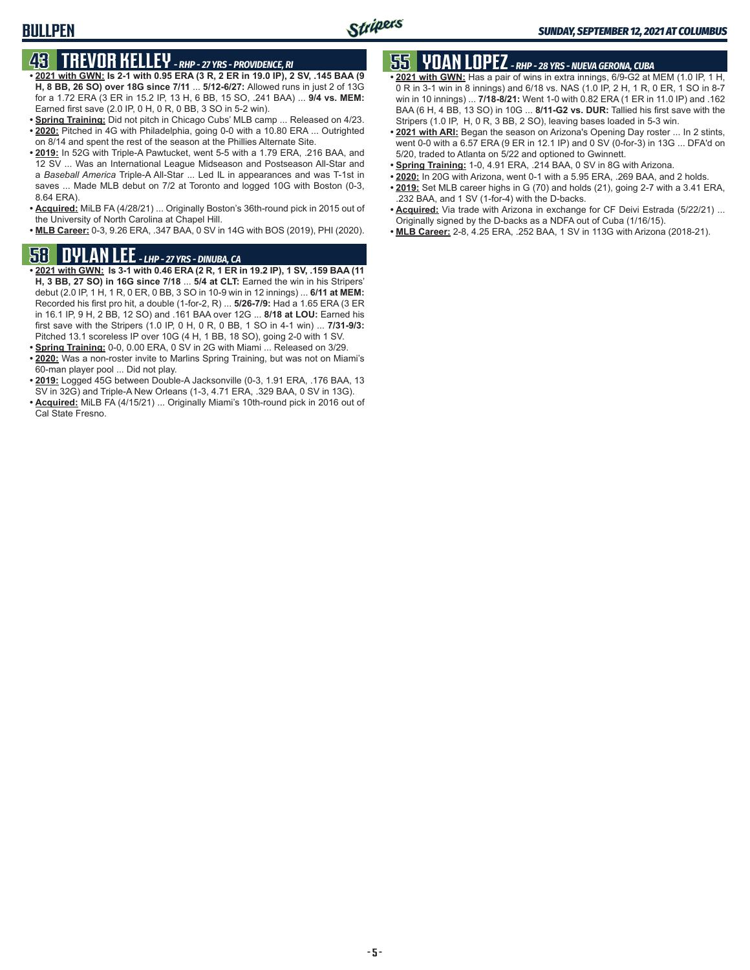# **43 TREVOR KELLEY** *- RHP - 27 YRS - PROVIDENCE, RI*

**BULLPEN**

- **• 2021 with GWN: Is 2-1 with 0.95 ERA (3 R, 2 ER in 19.0 IP), 2 SV, .145 BAA (9 H, 8 BB, 26 SO) over 18G since 7/11** ... **5/12-6/27:** Allowed runs in just 2 of 13G for a 1.72 ERA (3 ER in 15.2 IP, 13 H, 6 BB, 15 SO, .241 BAA) ... **9/4 vs. MEM:** Earned first save (2.0 IP, 0 H, 0 R, 0 BB, 3 SO in 5-2 win).
- **• Spring Training:** Did not pitch in Chicago Cubs' MLB camp ... Released on 4/23. **• 2020:** Pitched in 4G with Philadelphia, going 0-0 with a 10.80 ERA ... Outrighted on 8/14 and spent the rest of the season at the Phillies Alternate Site.
- **• 2019:** In 52G with Triple-A Pawtucket, went 5-5 with a 1.79 ERA, .216 BAA, and 12 SV ... Was an International League Midseason and Postseason All-Star and a *Baseball America* Triple-A All-Star ... Led IL in appearances and was T-1st in saves ... Made MLB debut on 7/2 at Toronto and logged 10G with Boston (0-3, 8.64 ERA).
- **• Acquired:** MiLB FA (4/28/21) ... Originally Boston's 36th-round pick in 2015 out of the University of North Carolina at Chapel Hill.
- **• MLB Career:** 0-3, 9.26 ERA, .347 BAA, 0 SV in 14G with BOS (2019), PHI (2020).

## **58 DYLAN LEE** *- LHP - 27 YRS - DINUBA, CA*

- **• 2021 with GWN: Is 3-1 with 0.46 ERA (2 R, 1 ER in 19.2 IP), 1 SV, .159 BAA (11 H, 3 BB, 27 SO) in 16G since 7/18** ... **5/4 at CLT:** Earned the win in his Stripers' debut (2.0 IP, 1 H, 1 R, 0 ER, 0 BB, 3 SO in 10-9 win in 12 innings) ... **6/11 at MEM:** Recorded his first pro hit, a double (1-for-2, R) ... **5/26-7/9:** Had a 1.65 ERA (3 ER in 16.1 IP, 9 H, 2 BB, 12 SO) and .161 BAA over 12G ... **8/18 at LOU:** Earned his first save with the Stripers (1.0 IP, 0 H, 0 R, 0 BB, 1 SO in 4-1 win) ... **7/31-9/3:** Pitched 13.1 scoreless IP over 10G (4 H, 1 BB, 18 SO), going 2-0 with 1 SV.
- **• Spring Training:** 0-0, 0.00 ERA, 0 SV in 2G with Miami ... Released on 3/29.
- **• 2020:** Was a non-roster invite to Marlins Spring Training, but was not on Miami's 60-man player pool ... Did not play.
- **• 2019:** Logged 45G between Double-A Jacksonville (0-3, 1.91 ERA, .176 BAA, 13 SV in 32G) and Triple-A New Orleans (1-3, 4.71 ERA, .329 BAA, 0 SV in 13G).
- **• Acquired:** MiLB FA (4/15/21) ... Originally Miami's 10th-round pick in 2016 out of Cal State Fresno.

# **55 YOAN LOPEZ** *- RHP - 28 YRS - NUEVA GERONA, CUBA*

- **• 2021 with GWN:** Has a pair of wins in extra innings, 6/9-G2 at MEM (1.0 IP, 1 H, 0 R in 3-1 win in 8 innings) and 6/18 vs. NAS (1.0 IP, 2 H, 1 R, 0 ER, 1 SO in 8-7 win in 10 innings) ... **7/18-8/21:** Went 1-0 with 0.82 ERA (1 ER in 11.0 IP) and .162 BAA (6 H, 4 BB, 13 SO) in 10G ... **8/11-G2 vs. DUR:** Tallied his first save with the Stripers (1.0 IP, H, 0 R, 3 BB, 2 SO), leaving bases loaded in 5-3 win.
- **• 2021 with ARI:** Began the season on Arizona's Opening Day roster ... In 2 stints, went 0-0 with a 6.57 ERA (9 ER in 12.1 IP) and 0 SV (0-for-3) in 13G ... DFA'd on 5/20, traded to Atlanta on 5/22 and optioned to Gwinnett.
- **• Spring Training:** 1-0, 4.91 ERA, .214 BAA, 0 SV in 8G with Arizona.
- **• 2020:** In 20G with Arizona, went 0-1 with a 5.95 ERA, .269 BAA, and 2 holds.
- **• 2019:** Set MLB career highs in G (70) and holds (21), going 2-7 with a 3.41 ERA, .232 BAA, and 1 SV (1-for-4) with the D-backs.
- **• Acquired:** Via trade with Arizona in exchange for CF Deivi Estrada (5/22/21) ... Originally signed by the D-backs as a NDFA out of Cuba (1/16/15).
- **• MLB Career:** 2-8, 4.25 ERA, .252 BAA, 1 SV in 113G with Arizona (2018-21).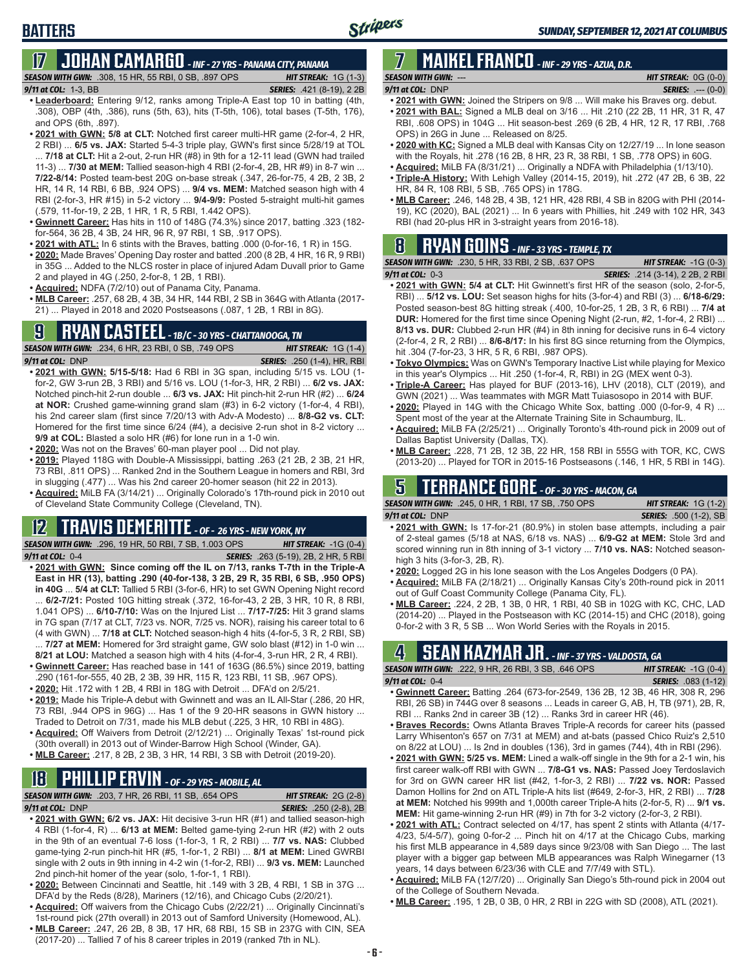# **17 JOHAN CAMARGO** *- INF - 27 YRS - PANAMA CITY, PANAMA*

*SEASON WITH GWN:*.308, 15 HR, 55 RBI, 0 SB, .897 OPS *HIT STREAK:* 1G (1-3)

**BATTERS**

- *9/11 at COL:* 1-3, BB *SERIES:* .421 (8-19), 2 2B **• Leaderboard:** Entering 9/12, ranks among Triple-A East top 10 in batting (4th, .308), OBP (4th, .386), runs (5th, 63), hits (T-5th, 106), total bases (T-5th, 176), and OPS (6th, .897).
- **• 2021 with GWN: 5/8 at CLT:** Notched first career multi-HR game (2-for-4, 2 HR, 2 RBI) ... **6/5 vs. JAX:** Started 5-4-3 triple play, GWN's first since 5/28/19 at TOL ... **7/18 at CLT:** Hit a 2-out, 2-run HR (#8) in 9th for a 12-11 lead (GWN had trailed 11-3) ... **7/30 at MEM:** Tallied season-high 4 RBI (2-for-4, 2B, HR #9) in 8-7 win ... **7/22-8/14:** Posted team-best 20G on-base streak (.347, 26-for-75, 4 2B, 2 3B, 2 HR, 14 R, 14 RBI, 6 BB, .924 OPS) ... **9/4 vs. MEM:** Matched season high with 4 RBI (2-for-3, HR #15) in 5-2 victory ... **9/4-9/9:** Posted 5-straight multi-hit games (.579, 11-for-19, 2 2B, 1 HR, 1 R, 5 RBI, 1.442 OPS).
- **• Gwinnett Career:** Has hits in 110 of 148G (74.3%) since 2017, batting .323 (182 for-564, 36 2B, 4 3B, 24 HR, 96 R, 97 RBI, 1 SB, .917 OPS).
- **• 2021 with ATL:** In 6 stints with the Braves, batting .000 (0-for-16, 1 R) in 15G.
- **• 2020:** Made Braves' Opening Day roster and batted .200 (8 2B, 4 HR, 16 R, 9 RBI) in 35G ... Added to the NLCS roster in place of injured Adam Duvall prior to Game 2 and played in 4G (.250, 2-for-8, 1 2B, 1 RBI).
- **• Acquired:** NDFA (7/2/10) out of Panama City, Panama.
- **• MLB Career:** .257, 68 2B, 4 3B, 34 HR, 144 RBI, 2 SB in 364G with Atlanta (2017- 21) ... Played in 2018 and 2020 Postseasons (.087, 1 2B, 1 RBI in 8G).

## **9 RYAN CASTEEL** *- 1B/C - 30 YRS - CHATTANOOGA, TN*

*SEASON WITH GWN:*.234, 6 HR, 23 RBI, 0 SB, .749 OPS *HIT STREAK:* 1G (1-4) *9/11 at COL:*DNP *SERIES:* .250 (1-4), HR, RBI

- **• 2021 with GWN: 5/15-5/18:** Had 6 RBI in 3G span, including 5/15 vs. LOU (1 for-2, GW 3-run 2B, 3 RBI) and 5/16 vs. LOU (1-for-3, HR, 2 RBI) ... **6/2 vs. JAX:** Notched pinch-hit 2-run double ... **6/3 vs. JAX:** Hit pinch-hit 2-run HR (#2) ... **6/24 at NOR:** Crushed game-winning grand slam (#3) in 6-2 victory (1-for-4, 4 RBI), his 2nd career slam (first since 7/20/13 with Adv-A Modesto) ... **8/8-G2 vs. CLT:** Homered for the first time since 6/24 (#4), a decisive 2-run shot in 8-2 victory ... **9/9 at COL:** Blasted a solo HR (#6) for lone run in a 1-0 win.
- **• 2020:** Was not on the Braves' 60-man player pool ... Did not play.
- **• 2019:** Played 118G with Double-A Mississippi, batting .263 (21 2B, 2 3B, 21 HR, 73 RBI, .811 OPS) ... Ranked 2nd in the Southern League in homers and RBI, 3rd in slugging (.477) ... Was his 2nd career 20-homer season (hit 22 in 2013).
- **• Acquired:** MiLB FA (3/14/21) ... Originally Colorado's 17th-round pick in 2010 out of Cleveland State Community College (Cleveland, TN).

#### **12 TRAVIS DEMERITTE** *- OF - 26 YRS - NEW YORK, NY*

*SEASON WITH GWN:*.296, 19 HR, 50 RBI, 7 SB, 1.003 OPS *HIT STREAK:* -1G (0-4) *9/11 at COL:*0-4 *SERIES:* .263 (5-19), 2B, 2 HR, 5 RBI

- **• 2021 with GWN: Since coming off the IL on 7/13, ranks T-7th in the Triple-A East in HR (13), batting .290 (40-for-138, 3 2B, 29 R, 35 RBI, 6 SB, .950 OPS) in 40G** ... **5/4 at CLT:** Tallied 5 RBI (3-for-6, HR) to set GWN Opening Night record ... **6/2-7/21:** Posted 10G hitting streak (.372, 16-for-43, 2 2B, 3 HR, 10 R, 8 RBI, 1.041 OPS) ... **6/10-7/10:** Was on the Injured List ... **7/17-7/25:** Hit 3 grand slams in 7G span (7/17 at CLT, 7/23 vs. NOR, 7/25 vs. NOR), raising his career total to 6
- (4 with GWN) ... **7/18 at CLT:** Notched season-high 4 hits (4-for-5, 3 R, 2 RBI, SB) ... **7/27 at MEM:** Homered for 3rd straight game, GW solo blast (#12) in 1-0 win ...
- **8/21 at LOU:** Matched a season high with 4 hits (4-for-4, 3-run HR, 2 R, 4 RBI). **• Gwinnett Career:** Has reached base in 141 of 163G (86.5%) since 2019, batting
- .290 (161-for-555, 40 2B, 2 3B, 39 HR, 115 R, 123 RBI, 11 SB, .967 OPS). **• 2020:** Hit .172 with 1 2B, 4 RBI in 18G with Detroit ... DFA'd on 2/5/21.
- **• 2019:** Made his Triple-A debut with Gwinnett and was an IL All-Star (.286, 20 HR, 73 RBI, .944 OPS in 96G) ... Has 1 of the 9 20-HR seasons in GWN history ... Traded to Detroit on 7/31, made his MLB debut (.225, 3 HR, 10 RBI in 48G).
- **• Acquired:** Off Waivers from Detroit (2/12/21) ... Originally Texas' 1st-round pick (30th overall) in 2013 out of Winder-Barrow High School (Winder, GA).
- **• MLB Career:** .217, 8 2B, 2 3B, 3 HR, 14 RBI, 3 SB with Detroit (2019-20).

# **18 PHILLIP ERVIN** *- OF - 29 YRS - MOBILE, AL*

*SEASON WITH GWN:*.203, 7 HR, 26 RBI, 11 SB, .654 OPS *HIT STREAK:* 2G (2-8)

*9/11 at COL:*DNP *SERIES:* .250 (2-8), 2B

- **• 2021 with GWN: 6/2 vs. JAX:** Hit decisive 3-run HR (#1) and tallied season-high 4 RBI (1-for-4, R) ... **6/13 at MEM:** Belted game-tying 2-run HR (#2) with 2 outs in the 9th of an eventual 7-6 loss (1-for-3, 1 R, 2 RBI) ... **7/7 vs. NAS:** Clubbed game-tying 2-run pinch-hit HR (#5, 1-for-1, 2 RBI) ... **8/1 at MEM:** Lined GWRBI single with 2 outs in 9th inning in 4-2 win (1-for-2, RBI) ... **9/3 vs. MEM:** Launched 2nd pinch-hit homer of the year (solo, 1-for-1, 1 RBI).
- **• 2020:** Between Cincinnati and Seattle, hit .149 with 3 2B, 4 RBI, 1 SB in 37G ... DFA'd by the Reds (8/28), Mariners (12/16), and Chicago Cubs (2/20/21).
- **• Acquired:** Off waivers from the Chicago Cubs (2/22/21) ... Originally Cincinnati's 1st-round pick (27th overall) in 2013 out of Samford University (Homewood, AL).
- **• MLB Career:** .247, 26 2B, 8 3B, 17 HR, 68 RBI, 15 SB in 237G with CIN, SEA (2017-20) ... Tallied 7 of his 8 career triples in 2019 (ranked 7th in NL).

#### **7 MAIKEL FRANCO** *- INF - 29 YRS - AZUA, D.R. SEASON WITH GWN:*--- *HIT STREAK:* 0G (0-0)

- *9/11 at COL:*DNP *SERIES:* .--- (0-0) **• 2021 with GWN:** Joined the Stripers on 9/8 ... Will make his Braves org. debut.
- **• 2021 with BAL:** Signed a MLB deal on 3/16 ... Hit .210 (22 2B, 11 HR, 31 R, 47 RBI, .608 OPS) in 104G ... Hit season-best .269 (6 2B, 4 HR, 12 R, 17 RBI, .768 OPS) in 26G in June ... Released on 8/25.
- **• 2020 with KC:** Signed a MLB deal with Kansas City on 12/27/19 ... In lone season with the Royals, hit .278 (16 2B, 8 HR, 23 R, 38 RBI, 1 SB, .778 OPS) in 60G.
- **• Acquired:** MiLB FA (8/31/21) ... Originally a NDFA with Philadelphia (1/13/10).
- **• Triple-A History:** With Lehigh Valley (2014-15, 2019), hit .272 (47 2B, 6 3B, 22 HR, 84 R, 108 RBI, 5 SB, .765 OPS) in 178G.
- **• MLB Career:** .246, 148 2B, 4 3B, 121 HR, 428 RBI, 4 SB in 820G with PHI (2014- 19), KC (2020), BAL (2021) ... In 6 years with Phillies, hit .249 with 102 HR, 343 RBI (had 20-plus HR in 3-straight years from 2016-18).

## **8 RYAN GOINS** *- INF - 33 YRS - TEMPLE, TX*

|                           | <b>SEASON WITH GWN:</b> .230, 5 HR, 33 RBI, 2 SB, .637 OPS . | <b>HIT STREAK:</b> $-1G(0-3)$           |
|---------------------------|--------------------------------------------------------------|-----------------------------------------|
| <b>9/11 at COL:   0-3</b> |                                                              | <b>SERIES:</b> .214 (3-14), 2 2B, 2 RBI |
|                           |                                                              |                                         |

- **• 2021 with GWN: 5/4 at CLT:** Hit Gwinnett's first HR of the season (solo, 2-for-5, RBI) ... **5/12 vs. LOU:** Set season highs for hits (3-for-4) and RBI (3) ... **6/18-6/29:** Posted season-best 8G hitting streak (.400, 10-for-25, 1 2B, 3 R, 6 RBI) ... **7/4 at DUR:** Homered for the first time since Opening Night (2-run, #2, 1-for-4, 2 RBI) ... **8/13 vs. DUR:** Clubbed 2-run HR (#4) in 8th inning for decisive runs in 6-4 victory (2-for-4, 2 R, 2 RBI) ... **8/6-8/17:** In his first 8G since returning from the Olympics, hit .304 (7-for-23, 3 HR, 5 R, 6 RBI, .987 OPS).
- **• Tokyo Olympics:** Was on GWN's Temporary Inactive List while playing for Mexico in this year's Olympics ... Hit .250 (1-for-4, R, RBI) in 2G (MEX went 0-3).
- **• Triple-A Career:** Has played for BUF (2013-16), LHV (2018), CLT (2019), and GWN (2021) ... Was teammates with MGR Matt Tuiasosopo in 2014 with BUF.
- **• 2020:** Played in 14G with the Chicago White Sox, batting .000 (0-for-9, 4 R) ... Spent most of the year at the Alternate Training Site in Schaumburg, IL.
- **• Acquired:** MiLB FA (2/25/21) ... Originally Toronto's 4th-round pick in 2009 out of Dallas Baptist University (Dallas, TX).
- **• MLB Career:** .228, 71 2B, 12 3B, 22 HR, 158 RBI in 555G with TOR, KC, CWS (2013-20) ... Played for TOR in 2015-16 Postseasons (.146, 1 HR, 5 RBI in 14G).

## **5 TERRANCE GORE** *- OF - 30 YRS - MACON, GA*

*SEASON WITH GWN:*.245, 0 HR, 1 RBI, 17 SB, .750 OPS *HIT STREAK:* 1G (1-2) *9/11 at COL:*DNP *SERIES:* .500 (1-2), SB

- **• 2021 with GWN:** Is 17-for-21 (80.9%) in stolen base attempts, including a pair of 2-steal games (5/18 at NAS, 6/18 vs. NAS) ... **6/9-G2 at MEM:** Stole 3rd and scored winning run in 8th inning of 3-1 victory ... **7/10 vs. NAS:** Notched seasonhigh 3 hits (3-for-3, 2B, R).
- **• 2020:** Logged 2G in his lone season with the Los Angeles Dodgers (0 PA).
- **• Acquired:** MiLB FA (2/18/21) ... Originally Kansas City's 20th-round pick in 2011 out of Gulf Coast Community College (Panama City, FL).
- **• MLB Career:** .224, 2 2B, 1 3B, 0 HR, 1 RBI, 40 SB in 102G with KC, CHC, LAD (2014-20) ... Played in the Postseason with KC (2014-15) and CHC (2018), going 0-for-2 with 3 R, 5 SB ... Won World Series with the Royals in 2015.

## **4 SEAN KAZMAR JR.** *- INF - 37 YRS - VALDOSTA, GA*

| <b>SEASON WITH GWN:</b> .222, 9 HR, 26 RBI, 3 SB, .646 OPS                |  |  | <b>HIT STREAK:</b> $-1G(0-4)$ |  |
|---------------------------------------------------------------------------|--|--|-------------------------------|--|
| 9/11 at COL: $0-4$                                                        |  |  | <b>SERIES:</b> .083 (1-12)    |  |
| . Cuinnett Caroor: Potting 264 (672 for 2540 126 2P 12 2P 46 HP 200 P 206 |  |  |                               |  |

- **Batting .264 (673-for-2549, 136 2B, 12 3B, 46** RBI, 26 SB) in 744G over 8 seasons ... Leads in career G, AB, H, TB (971), 2B, R, RBI ... Ranks 2nd in career 3B (12) ... Ranks 3rd in career HR (46).
- **• Braves Records:** Owns Atlanta Braves Triple-A records for career hits (passed Larry Whisenton's 657 on 7/31 at MEM) and at-bats (passed Chico Ruiz's 2,510 on 8/22 at LOU) ... Is 2nd in doubles (136), 3rd in games (744), 4th in RBI (296).
- **• 2021 with GWN: 5/25 vs. MEM:** Lined a walk-off single in the 9th for a 2-1 win, his first career walk-off RBI with GWN ... **7/8-G1 vs. NAS:** Passed Joey Terdoslavich for 3rd on GWN career HR list (#42, 1-for-3, 2 RBI) ... **7/22 vs. NOR:** Passed Damon Hollins for 2nd on ATL Triple-A hits list (#649, 2-for-3, HR, 2 RBI) ... **7/28 at MEM:** Notched his 999th and 1,000th career Triple-A hits (2-for-5, R) ... **9/1 vs. MEM:** Hit game-winning 2-run HR (#9) in 7th for 3-2 victory (2-for-3, 2 RBI).
- **• 2021 with ATL:** Contract selected on 4/17, has spent 2 stints with Atlanta (4/17- 4/23, 5/4-5/7), going 0-for-2 ... Pinch hit on 4/17 at the Chicago Cubs, marking his first MLB appearance in 4,589 days since 9/23/08 with San Diego ... The last player with a bigger gap between MLB appearances was Ralph Winegarner (13 years, 14 days between 6/23/36 with CLE and 7/7/49 with STL).
- **• Acquired:** MiLB FA (12/7/20) ... Originally San Diego's 5th-round pick in 2004 out of the College of Southern Nevada.
- **• MLB Career:** .195, 1 2B, 0 3B, 0 HR, 2 RBI in 22G with SD (2008), ATL (2021).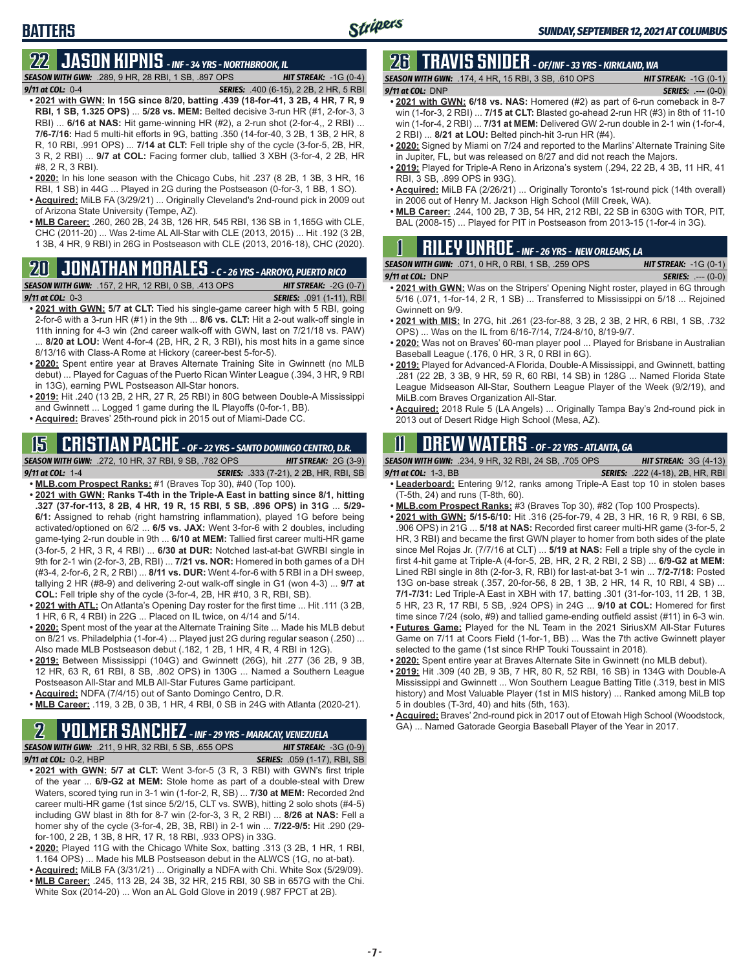# **22 JASON KIPNIS** *- INF - 34 YRS - NORTHBROOK, IL*

*SEASON WITH GWN:*.289, 9 HR, 28 RBI, 1 SB, .897 OPS *HIT STREAK:* -1G (0-4) *9/11 at COL:*0-4 *SERIES:* .400 (6-15), 2 2B, 2 HR, 5 RBI

- **• 2021 with GWN: In 15G since 8/20, batting .439 (18-for-41, 3 2B, 4 HR, 7 R, 9 RBI, 1 SB, 1.325 OPS)** ... **5/28 vs. MEM:** Belted decisive 3-run HR (#1, 2-for-3, 3 RBI) ... **6/16 at NAS:** Hit game-winning HR (#2), a 2-run shot (2-for-4,, 2 RBI) ... **7/6-7/16:** Had 5 multi-hit efforts in 9G, batting .350 (14-for-40, 3 2B, 1 3B, 2 HR, 8 R, 10 RBI, .991 OPS) ... **7/14 at CLT:** Fell triple shy of the cycle (3-for-5, 2B, HR, 3 R, 2 RBI) ... **9/7 at COL:** Facing former club, tallied 3 XBH (3-for-4, 2 2B, HR #8, 2 R, 3 RBI).
- **• 2020:** In his lone season with the Chicago Cubs, hit .237 (8 2B, 1 3B, 3 HR, 16 RBI, 1 SB) in 44G ... Played in 2G during the Postseason (0-for-3, 1 BB, 1 SO).
- **• Acquired:** MiLB FA (3/29/21) ... Originally Cleveland's 2nd-round pick in 2009 out of Arizona State University (Tempe, AZ).
- **• MLB Career:** .260, 260 2B, 24 3B, 126 HR, 545 RBI, 136 SB in 1,165G with CLE, CHC (2011-20) ... Was 2-time AL All-Star with CLE (2013, 2015) ... Hit .192 (3 2B, 1 3B, 4 HR, 9 RBI) in 26G in Postseason with CLE (2013, 2016-18), CHC (2020).

# **20 JONATHAN MORALES** *- C - 26 YRS - ARROYO, PUERTO RICO*

*SEASON WITH GWN:*.157, 2 HR, 12 RBI, 0 SB, .413 OPS *HIT STREAK:* -2G (0-7) *9/11 at COL:*0-3 *SERIES:* .091 (1-11), RBI

- 
- **• 2021 with GWN: 5/7 at CLT:** Tied his single-game career high with 5 RBI, going 2-for-6 with a 3-run HR (#1) in the 9th ... **8/6 vs. CLT:** Hit a 2-out walk-off single in 11th inning for 4-3 win (2nd career walk-off with GWN, last on 7/21/18 vs. PAW) 8/20 at LOU: Went 4-for-4 (2B, HR, 2 R, 3 RBI), his most hits in a game since 8/13/16 with Class-A Rome at Hickory (career-best 5-for-5).
- **• 2020:** Spent entire year at Braves Alternate Training Site in Gwinnett (no MLB debut) ... Played for Caguas of the Puerto Rican Winter League (.394, 3 HR, 9 RBI in 13G), earning PWL Postseason All-Star honors.
- **• 2019:** Hit .240 (13 2B, 2 HR, 27 R, 25 RBI) in 80G between Double-A Mississippi and Gwinnett ... Logged 1 game during the IL Playoffs (0-for-1, BB).
- **• Acquired:** Braves' 25th-round pick in 2015 out of Miami-Dade CC.

#### **15 CRISTIAN PACHE** *- OF - 22 YRS - SANTO DOMINGO CENTRO, D.R. SEASON WITH GWN:*.272, 10 HR, 37 RBI, 9 SB, .782 OPS *HIT STREAK:* 2G (3-9)

- *9/11 at COL:* 1-4 *SERIES:* .333 (7-21), 2 2B, HR, RBI, SB **• MLB.com Prospect Ranks:** #1 (Braves Top 30), #40 (Top 100).
- **• 2021 with GWN: Ranks T-4th in the Triple-A East in batting since 8/1, hitting .327 (37-for-113, 8 2B, 4 HR, 19 R, 15 RBI, 5 SB, .896 OPS) in 31G** ... **5/29- 6/1:** Assigned to rehab (right hamstring inflammation), played 1G before being activated/optioned on 6/2 ... **6/5 vs. JAX:** Went 3-for-6 with 2 doubles, including game-tying 2-run double in 9th ... **6/10 at MEM:** Tallied first career multi-HR game (3-for-5, 2 HR, 3 R, 4 RBI) ... **6/30 at DUR:** Notched last-at-bat GWRBI single in 9th for 2-1 win (2-for-3, 2B, RBI) ... **7/21 vs. NOR:** Homered in both games of a DH (#3-4, 2-for-6, 2 R, 2 RBI) ... **8/11 vs. DUR:** Went 4-for-6 with 5 RBI in a DH sweep, tallying 2 HR (#8-9) and delivering 2-out walk-off single in G1 (won 4-3) ... **9/7 at COL:** Fell triple shy of the cycle (3-for-4, 2B, HR #10, 3 R, RBI, SB).
- **• 2021 with ATL:** On Atlanta's Opening Day roster for the first time ... Hit .111 (3 2B, 1 HR, 6 R, 4 RBI) in 22G ... Placed on IL twice, on 4/14 and 5/14.
- **• 2020:** Spent most of the year at the Alternate Training Site ... Made his MLB debut on 8/21 vs. Philadelphia (1-for-4) ... Played just 2G during regular season (.250) ... Also made MLB Postseason debut (.182, 1 2B, 1 HR, 4 R, 4 RBI in 12G).
- **• 2019:** Between Mississippi (104G) and Gwinnett (26G), hit .277 (36 2B, 9 3B, 12 HR, 63 R, 61 RBI, 8 SB, .802 OPS) in 130G ... Named a Southern League Postseason All-Star and MLB All-Star Futures Game participant.
- **• Acquired:** NDFA (7/4/15) out of Santo Domingo Centro, D.R.
- **• MLB Career:** .119, 3 2B, 0 3B, 1 HR, 4 RBI, 0 SB in 24G with Atlanta (2020-21).

## **2 YOLMER SANCHEZ** *- INF - 29 YRS - MARACAY, VENEZUELA*

*SEASON WITH GWN:*.211, 9 HR, 32 RBI, 5 SB, .655 OPS *HIT STREAK:* -3G (0-9) *9/11 at COL:*0-2, HBP *SERIES:* .059 (1-17), RBI, SB

- **• 2021 with GWN: 5/7 at CLT:** Went 3-for-5 (3 R, 3 RBI) with GWN's first triple of the year ... **6/9-G2 at MEM:** Stole home as part of a double-steal with Drew Waters, scored tying run in 3-1 win (1-for-2, R, SB) ... **7/30 at MEM:** Recorded 2nd career multi-HR game (1st since 5/2/15, CLT vs. SWB), hitting 2 solo shots (#4-5) including GW blast in 8th for 8-7 win (2-for-3, 3 R, 2 RBI) ... **8/26 at NAS:** Fell a homer shy of the cycle (3-for-4, 2B, 3B, RBI) in 2-1 win ... **7/22-9/5:** Hit .290 (29 for-100, 2 2B, 1 3B, 8 HR, 17 R, 18 RBI, .933 OPS) in 33G.
- **• 2020:** Played 11G with the Chicago White Sox, batting .313 (3 2B, 1 HR, 1 RBI, 1.164 OPS) ... Made his MLB Postseason debut in the ALWCS (1G, no at-bat).
- **• Acquired:** MiLB FA (3/31/21) ... Originally a NDFA with Chi. White Sox (5/29/09). **• MLB Career:** .245, 113 2B, 24 3B, 32 HR, 215 RBI, 30 SB in 657G with the Chi.
- White Sox (2014-20) ... Won an AL Gold Glove in 2019 (.987 FPCT at 2B).

## **26 TRAVIS SNIDER** *- OF/INF - 33 YRS - KIRKLAND, WA*

*SEASON WITH GWN:*.174, 4 HR, 15 RBI, 3 SB, .610 OPS *HIT STREAK:* -1G (0-1) *9/11 at COL:* DNP *SERIES:* .--- (0-0)

- **• 2021 with GWN: 6/18 vs. NAS:** Homered (#2) as part of 6-run comeback in 8-7 win (1-for-3, 2 RBI) ... **7/15 at CLT:** Blasted go-ahead 2-run HR (#3) in 8th of 11-10 win (1-for-4, 2 RBI) ... **7/31 at MEM:** Delivered GW 2-run double in 2-1 win (1-for-4, 2 RBI) ... **8/21 at LOU:** Belted pinch-hit 3-run HR (#4).
- **• 2020:** Signed by Miami on 7/24 and reported to the Marlins' Alternate Training Site in Jupiter, FL, but was released on 8/27 and did not reach the Majors.
- **• 2019:** Played for Triple-A Reno in Arizona's system (.294, 22 2B, 4 3B, 11 HR, 41 RBI, 3 SB, .899 OPS in 93G).
- **• Acquired:** MiLB FA (2/26/21) ... Originally Toronto's 1st-round pick (14th overall) in 2006 out of Henry M. Jackson High School (Mill Creek, WA).
- **• MLB Career:** .244, 100 2B, 7 3B, 54 HR, 212 RBI, 22 SB in 630G with TOR, PIT, BAL (2008-15) ... Played for PIT in Postseason from 2013-15 (1-for-4 in 3G).

|  |  |  | <b>NILEY UNROE</b> - INF - 26 YRS - NEW ORLEANS, LA |
|--|--|--|-----------------------------------------------------|
|  |  |  | 111777777777777                                     |

| <b>SEASON WITH GWN:</b> .071, 0 HR, 0 RBI, 1 SB, .259 OPS | <b>HIT STREAK:</b> $-1G(0-1)$ |
|-----------------------------------------------------------|-------------------------------|
| $9/11$ at COL: DNP                                        | <b>SERIES:</b> $--- (0-0)$    |
|                                                           |                               |

- **• 2021 with GWN:** Was on the Stripers' Opening Night roster, played in 6G through 5/16 (.071, 1-for-14, 2 R, 1 SB) ... Transferred to Mississippi on 5/18 ... Rejoined Gwinnett on 9/9.
- **• 2021 with MIS:** In 27G, hit .261 (23-for-88, 3 2B, 2 3B, 2 HR, 6 RBI, 1 SB, .732 OPS) ... Was on the IL from 6/16-7/14, 7/24-8/10, 8/19-9/7.
- **• 2020:** Was not on Braves' 60-man player pool ... Played for Brisbane in Australian Baseball League (.176, 0 HR, 3 R, 0 RBI in 6G).
- **• 2019:** Played for Advanced-A Florida, Double-A Mississippi, and Gwinnett, batting .281 (22 2B, 3 3B, 9 HR, 59 R, 60 RBI, 14 SB) in 128G ... Named Florida State League Midseason All-Star, Southern League Player of the Week (9/2/19), and MiLB.com Braves Organization All-Star.
- **• Acquired:** 2018 Rule 5 (LA Angels) ... Originally Tampa Bay's 2nd-round pick in 2013 out of Desert Ridge High School (Mesa, AZ).

# **11 Drew WATERS** *- OF - 22 YRS - ATLANTA, GA*

*SEASON WITH GWN:*.234, 9 HR, 32 RBI, 24 SB, .705 OPS *HIT STREAK:* 3G (4-13)

*9/11 at COL:*1-3, BB *SERIES:* .222 (4-18), 2B, HR, RBI

- **• Leaderboard:** Entering 9/12, ranks among Triple-A East top 10 in stolen bases (T-5th, 24) and runs (T-8th, 60).
- **• MLB.com Prospect Ranks:** #3 (Braves Top 30), #82 (Top 100 Prospects).
- **• 2021 with GWN: 5/15-6/10:** Hit .316 (25-for-79, 4 2B, 3 HR, 16 R, 9 RBI, 6 SB, .906 OPS) in 21G ... **5/18 at NAS:** Recorded first career multi-HR game (3-for-5, 2 HR, 3 RBI) and became the first GWN player to homer from both sides of the plate since Mel Rojas Jr. (7/7/16 at CLT) ... **5/19 at NAS:** Fell a triple shy of the cycle in first 4-hit game at Triple-A (4-for-5, 2B, HR, 2 R, 2 RBI, 2 SB) ... **6/9-G2 at MEM:** Lined RBI single in 8th (2-for-3, R, RBI) for last-at-bat 3-1 win ... **7/2-7/18:** Posted 13G on-base streak (.357, 20-for-56, 8 2B, 1 3B, 2 HR, 14 R, 10 RBI, 4 SB) ... **7/1-7/31:** Led Triple-A East in XBH with 17, batting .301 (31-for-103, 11 2B, 1 3B, 5 HR, 23 R, 17 RBI, 5 SB, .924 OPS) in 24G ... **9/10 at COL:** Homered for first time since 7/24 (solo, #9) and tallied game-ending outfield assist (#11) in 6-3 win.
- **• Futures Game:** Played for the NL Team in the 2021 SiriusXM All-Star Futures Game on 7/11 at Coors Field (1-for-1, BB) ... Was the 7th active Gwinnett player selected to the game (1st since RHP Touki Toussaint in 2018).
- **• 2020:** Spent entire year at Braves Alternate Site in Gwinnett (no MLB debut).
- **• 2019:** Hit .309 (40 2B, 9 3B, 7 HR, 80 R, 52 RBI, 16 SB) in 134G with Double-A Mississippi and Gwinnett ... Won Southern League Batting Title (.319, best in MIS history) and Most Valuable Player (1st in MIS history) ... Ranked among MiLB top 5 in doubles (T-3rd, 40) and hits (5th, 163).
- **• Acquired:** Braves' 2nd-round pick in 2017 out of Etowah High School (Woodstock, GA) ... Named Gatorade Georgia Baseball Player of the Year in 2017.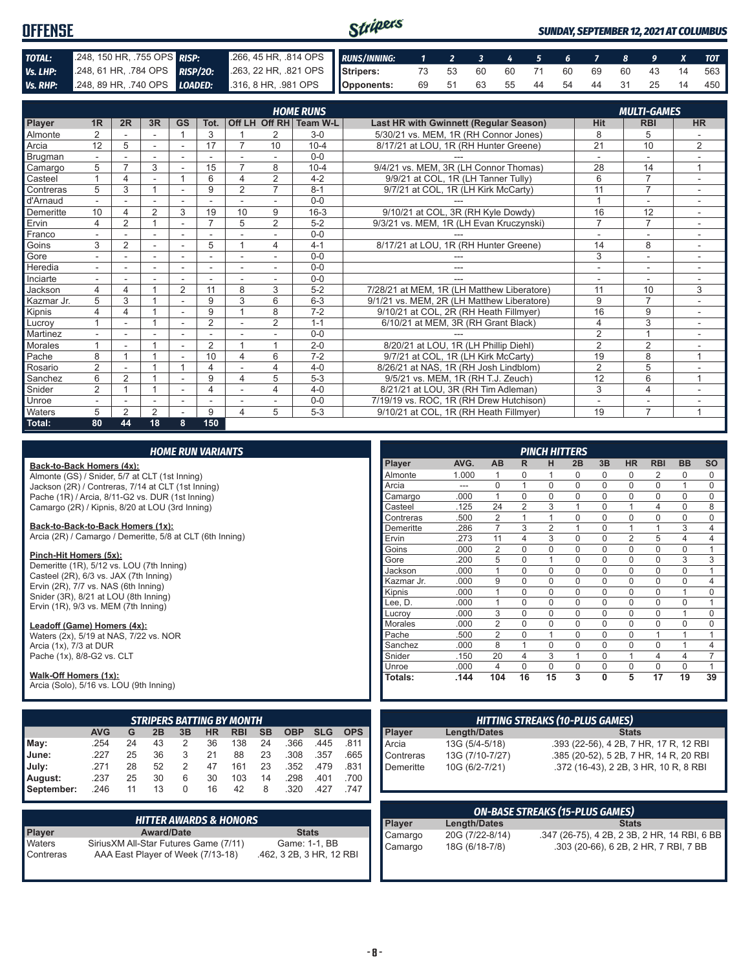| <b>OFFENSE</b> |                            |                                                                                              | <b>SUNDAY, SEPTEMBER 12, 2021 AT COLUMBUS</b> |  |  |  |  |  |  |  |  |                                   |
|----------------|----------------------------|----------------------------------------------------------------------------------------------|-----------------------------------------------|--|--|--|--|--|--|--|--|-----------------------------------|
| TOTAL:         | 248, 150 HR, 755 OPS RISP: | 266, 45 HR, 314 OPS RUNS/INNING: 1 2 3 4 5 6 7 8 9 X TOT                                     |                                               |  |  |  |  |  |  |  |  |                                   |
| Vs. LHP:       |                            | 248, 61 HR, 784 OPS RISP/20: 263, 22 HR, 821 OPS Stripers: 73 53 60 60 71 60 69 60 43 14 563 |                                               |  |  |  |  |  |  |  |  |                                   |
|                |                            | Vs. RHP: 248, 89 HR, 740 OPS LOADED: 316, 8 HR, 981 OPS Opponents:                           |                                               |  |  |  |  |  |  |  |  | 69 51 63 55 44 54 44 31 25 14 450 |

|            |                |                |    |           |                |                |                | <b>HOME RUNS</b>       |                                               |                 | <b>MULTI-GAMES</b> |              |
|------------|----------------|----------------|----|-----------|----------------|----------------|----------------|------------------------|-----------------------------------------------|-----------------|--------------------|--------------|
| Player     | 1 <sub>R</sub> | 2R             | 3R | <b>GS</b> | Tot.           |                |                | Off LH Off RH Team W-L | <b>Last HR with Gwinnett (Regular Season)</b> | <b>Hit</b>      | <b>RBI</b>         | <b>HR</b>    |
| Almonte    | $\overline{2}$ |                |    |           | 3              |                | 2              | $3-0$                  | 5/30/21 vs. MEM. 1R (RH Connor Jones)         | 8               | 5                  |              |
| Arcia      | 12             | 5              |    |           | 17             | 7              | 10             | $10 - 4$               | 8/17/21 at LOU, 1R (RH Hunter Greene)         | $\overline{21}$ | 10                 | 2            |
| Brugman    |                |                |    |           |                |                |                | $0 - 0$                |                                               |                 | ۰                  |              |
| Camargo    | 5              | $\overline{ }$ | 3  |           | 15             | $\overline{7}$ | 8              | $10 - 4$               | 9/4/21 vs. MEM, 3R (LH Connor Thomas)         | 28              | 14                 |              |
| Casteel    |                |                |    |           | 6              | 4              | 2              | $4 - 2$                | 9/9/21 at COL, 1R (LH Tanner Tully)           | 6               | $\overline{7}$     |              |
| Contreras  | 5              | 3              |    |           | 9              | $\overline{2}$ | $\overline{7}$ | $8 - 1$                | 9/7/21 at COL, 1R (LH Kirk McCarty)           | 11              | $\overline{7}$     |              |
| d'Arnaud   |                |                |    |           |                |                |                | $0 - 0$                |                                               |                 |                    |              |
| Demeritte  | 10             |                | 2  | 3         | 19             | 10             | 9              | $16 - 3$               | 9/10/21 at COL, 3R (RH Kyle Dowdy)            | 16              | 12                 |              |
| Ervin      | 4              | 2              |    |           | $\overline{7}$ | 5              | $\overline{2}$ | $5 - 2$                | 9/3/21 vs. MEM, 1R (LH Evan Kruczynski)       | $\overline{7}$  | $\overline{7}$     |              |
| Franco     |                |                |    |           |                |                |                | $0 - 0$                |                                               |                 | ۰                  |              |
| Goins      | 3              | $\overline{2}$ |    |           | 5              |                | 4              | $4 - 1$                | 8/17/21 at LOU, 1R (RH Hunter Greene)         | 14              | 8                  |              |
| Gore       |                |                |    |           |                |                |                | $0 - 0$                |                                               | 3               | ۰                  |              |
| Heredia    |                |                |    |           |                |                |                | $0 - 0$                | ---                                           | ٠               | ۰                  |              |
| Inciarte   |                |                |    |           |                |                |                | $0 - 0$                |                                               |                 |                    |              |
| Jackson    | 4              | 4              |    | 2         | 11             | 8              | 3              | $5 - 2$                | 7/28/21 at MEM, 1R (LH Matthew Liberatore)    | 11              | 10                 | 3            |
| Kazmar Jr. | 5              | 3              |    |           | 9              | 3              | 6              | $6 - 3$                | 9/1/21 vs. MEM. 2R (LH Matthew Liberatore)    | 9               | $\overline{7}$     |              |
| Kipnis     | 4              | 4              |    |           | 9              |                | 8              | $7 - 2$                | 9/10/21 at COL, 2R (RH Heath Fillmyer)        | 16              | 9                  |              |
| Lucrov     |                |                |    |           | $\overline{2}$ |                | 2              | $1 - 1$                | 6/10/21 at MEM, 3R (RH Grant Black)           | 4               | 3                  |              |
| Martinez   |                |                |    |           |                |                |                | $0 - 0$                |                                               | $\overline{2}$  | $\overline{A}$     |              |
| Morales    |                |                |    |           | $\overline{2}$ |                | 1              | $2 - 0$                | 8/20/21 at LOU, 1R (LH Phillip Diehl)         | $\overline{2}$  | $\overline{2}$     |              |
| Pache      | 8              |                |    |           | 10             | 4              | 6              | $7 - 2$                | 9/7/21 at COL, 1R (LH Kirk McCarty)           | 19              | 8                  | 1            |
| Rosario    | $\overline{2}$ |                |    |           | 4              |                | 4              | $4 - 0$                | 8/26/21 at NAS, 1R (RH Josh Lindblom)         | $\overline{2}$  | 5                  |              |
| Sanchez    | 6              | $\overline{2}$ |    |           | 9              | 4              | 5              | $5 - 3$                | 9/5/21 vs. MEM, 1R (RH T.J. Zeuch)            | 12              | 6                  | $\mathbf{1}$ |
| Snider     | $\overline{2}$ |                |    |           | 4              |                | 4              | $4 - 0$                | 8/21/21 at LOU, 3R (RH Tim Adleman)           | 3               | 4                  |              |
| Unroe      |                |                |    |           |                |                |                | $0 - 0$                | 7/19/19 vs. ROC, 1R (RH Drew Hutchison)       | ٠               | ۰                  |              |
| Waters     | 5              | $\mathfrak{p}$ | 2  |           | 9              | 4              | 5              | $5 - 3$                | 9/10/21 at COL, 1R (RH Heath Fillmyer)        | 19              | $\overline{7}$     | 1            |
| Total:     | 80             | 44             | 18 | 8         | 150            |                |                |                        |                                               |                 |                    |              |

|  |  | <b>HOME RUN VARIANTS</b> |
|--|--|--------------------------|
|  |  |                          |

#### **Back-to-Back Homers (4x):**

Almonte (GS) / Snider, 5/7 at CLT (1st Inning) Jackson (2R) / Contreras, 7/14 at CLT (1st Inning) Pache (1R) / Arcia, 8/11-G2 vs. DUR (1st Inning) Camargo (2R) / Kipnis, 8/20 at LOU (3rd Inning)

**Back-to-Back-to-Back Homers (1x):**

Arcia (2R) / Camargo / Demeritte, 5/8 at CLT (6th Inning)

#### **Pinch-Hit Homers (5x):**

Demeritte (1R), 5/12 vs. LOU (7th Inning) Casteel (2R), 6/3 vs. JAX (7th Inning) Ervin  $(2R)$ ,  $7/7$  vs. NAS  $(6th$  Inning) Snider (3R), 8/21 at LOU (8th Inning) Ervin (1R), 9/3 vs. MEM (7th Inning)

#### **Leadoff (Game) Homers (4x):**

Waters (2x), 5/19 at NAS, 7/22 vs. NOR Arcia (1x), 7/3 at DUR Pache (1x), 8/8-G2 vs. CLT

#### **Walk-Off Homers (1x):**

Arcia (Solo), 5/16 vs. LOU (9th Inning)

| <b>STRIPERS BATTING BY MONTH</b> |            |    |    |    |    |            |           |            |            |            |
|----------------------------------|------------|----|----|----|----|------------|-----------|------------|------------|------------|
|                                  | <b>AVG</b> | G  | 2B | 3B | HR | <b>RBI</b> | <b>SB</b> | <b>OBP</b> | <b>SLG</b> | <b>OPS</b> |
| May:                             | .254       | 24 | 43 | 2  | 36 | 138        | 24        | .366       | .445       | .811       |
| June:                            | .227       | 25 | 36 | 3  | 21 | 88         | 23        | .308       | .357       | .665       |
| July:                            | .271       | 28 | 52 | 2  | 47 | 161        | 23        | .352       | .479       | .831       |
| August:                          | .237       | 25 | 30 | 6  | 30 | 103        | 14        | .298       | .401       | .700       |
| September:                       | .246       | 11 | 13 | 0  | 16 | 42         | 8         | .320       | .427       | .747       |

|               | <b>HITTER AWARDS &amp; HONORS</b>      |                          |
|---------------|----------------------------------------|--------------------------|
| <b>Player</b> | <b>Award/Date</b>                      | <b>Stats</b>             |
| Waters        | Sirius XM All-Star Futures Game (7/11) | Game: 1-1, BB            |
| Contreras     | AAA East Player of Week (7/13-18)      | .462, 3 2B, 3 HR, 12 RBI |

| <b>PINCH HITTERS</b> |       |                |                |                |          |             |                |                |                |           |
|----------------------|-------|----------------|----------------|----------------|----------|-------------|----------------|----------------|----------------|-----------|
| Player               | AVG.  | AB             | R              | н              | 2B       | 3B          | <b>HR</b>      | <b>RBI</b>     | <b>BB</b>      | <b>SO</b> |
| Almonte              | 1.000 | 1              | 0              | 1              | 0        | 0           | 0              | 2              | 0              | 0         |
| Arcia                | ---   | $\Omega$       | 1              | $\Omega$       | $\Omega$ | $\Omega$    | $\Omega$       | $\Omega$       | 1              | $\Omega$  |
| Camargo              | .000  | 1              | $\Omega$       | $\Omega$       | $\Omega$ | $\Omega$    | $\Omega$       | $\Omega$       | $\Omega$       | $\Omega$  |
| Casteel              | .125  | 24             | $\overline{2}$ | 3              | 1        | $\Omega$    | 1              | $\overline{4}$ | $\Omega$       | 8         |
| Contreras            | .500  | $\overline{2}$ | 1              | 1              | 0        | $\Omega$    | $\mathbf 0$    | $\Omega$       | $\Omega$       | $\Omega$  |
| Demeritte            | .286  | 7              | 3              | $\overline{2}$ | 1        | $\Omega$    | 1              | 1              | 3              | 4         |
| Ervin                | .273  | 11             | 4              | 3              | 0        | $\Omega$    | $\overline{2}$ | 5              | $\overline{4}$ | 4         |
| Goins                | .000  | $\overline{2}$ | $\Omega$       | $\Omega$       | $\Omega$ | $\Omega$    | $\Omega$       | $\Omega$       | $\Omega$       | 1         |
| Gore                 | .200  | 5              | $\mathbf 0$    | 1              | 0        | $\mathbf 0$ | $\mathbf 0$    | $\Omega$       | 3              | 3         |
| Jackson              | .000  | 1              | $\Omega$       | $\Omega$       | $\Omega$ | $\Omega$    | $\Omega$       | $\Omega$       | $\Omega$       | 1         |
| Kazmar Jr.           | .000  | 9              | $\Omega$       | $\Omega$       | 0        | $\Omega$    | $\Omega$       | $\Omega$       | $\Omega$       | 4         |
| Kipnis               | .000  | 1              | $\Omega$       | $\Omega$       | $\Omega$ | $\Omega$    | $\Omega$       | $\Omega$       | 1              | $\Omega$  |
| Lee, D.              | .000  | 1              | $\Omega$       | $\Omega$       | $\Omega$ | $\Omega$    | $\mathbf 0$    | $\Omega$       | $\Omega$       | 1         |
| Lucrov               | .000  | 3              | $\Omega$       | $\Omega$       | $\Omega$ | $\Omega$    | $\Omega$       | $\Omega$       | 1              | $\Omega$  |
| <b>Morales</b>       | .000  | $\overline{2}$ | $\Omega$       | $\Omega$       | $\Omega$ | $\Omega$    | $\Omega$       | $\Omega$       | $\Omega$       | $\Omega$  |
| Pache                | .500  | $\overline{2}$ | 0              | 1              | $\Omega$ | $\Omega$    | $\mathbf 0$    | 1              | 1              | 1         |
| Sanchez              | .000  | 8              | 1              | $\Omega$       | 0        | $\mathbf 0$ | $\mathbf 0$    | $\Omega$       | 1              | 4         |
| Snider               | .150  | 20             | 4              | 3              | 1        | $\Omega$    | 1              | $\overline{4}$ | $\overline{4}$ | 7         |
| Unroe                | .000  | 4              | $\Omega$       | $\Omega$       | 0        | $\Omega$    | $\Omega$       | $\Omega$       | $\Omega$       | 1         |
| Totals:              | .144  | 104            | 16             | 15             | 3        | 0           | 5              | 17             | 19             | 39        |

| <b>HITTING STREAKS (10-PLUS GAMES)</b> |                 |                                        |  |  |
|----------------------------------------|-----------------|----------------------------------------|--|--|
|                                        | Length/Dates    | <b>Stats</b>                           |  |  |
| Player<br>Arcia                        | 13G (5/4-5/18)  | .393 (22-56), 4 2B, 7 HR, 17 R, 12 RBI |  |  |
| Contreras                              | 13G (7/10-7/27) | .385 (20-52), 5 2B, 7 HR, 14 R, 20 RBI |  |  |
| $\blacksquare$ Demeritte               | 10G (6/2-7/21)  | .372 (16-43), 2 2B, 3 HR, 10 R, 8 RBI  |  |  |
|                                        |                 |                                        |  |  |

| <b>ON-BASE STREAKS (15-PLUS GAMES)</b> |                 |                                              |  |
|----------------------------------------|-----------------|----------------------------------------------|--|
| Player                                 | Length/Dates    | <b>Stats</b>                                 |  |
| Camargo                                | 20G (7/22-8/14) | .347 (26-75), 4 2B, 2 3B, 2 HR, 14 RBI, 6 BB |  |
| Camargo                                | 18G (6/18-7/8)  | .303 (20-66), 6 2B, 2 HR, 7 RBI, 7 BB        |  |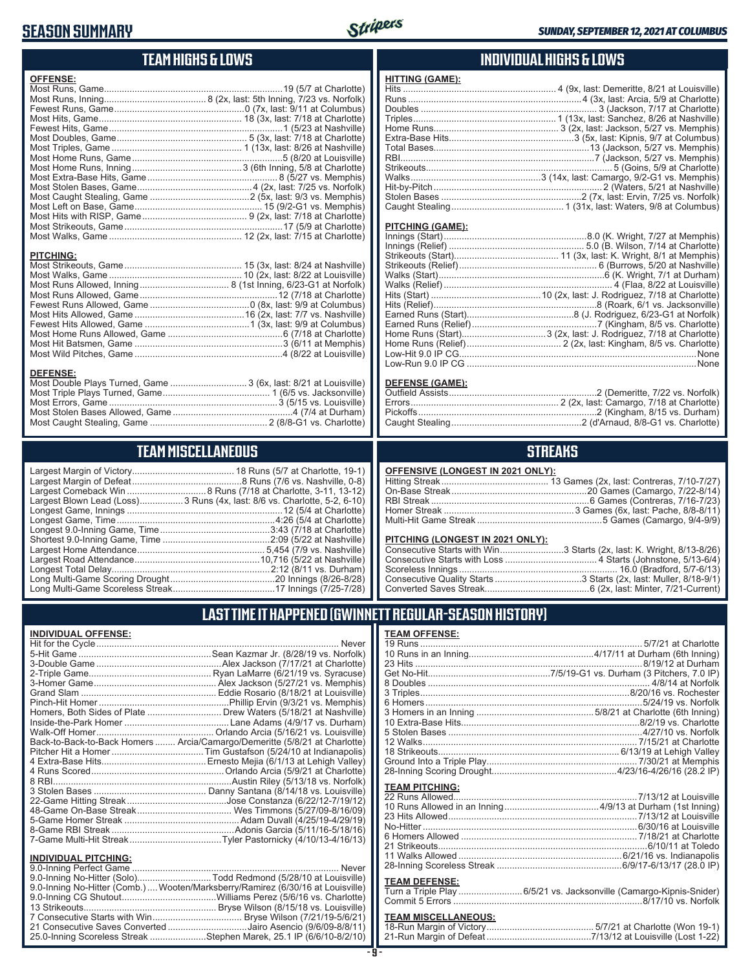## **SEASON SUMMARY**



## **TEAM HIGHS & LOWS**

| <b>OFFENSE:</b>                                                                     |
|-------------------------------------------------------------------------------------|
|                                                                                     |
| <b>PITCHING:</b>                                                                    |
| <b>DEFENSE:</b><br>Most Double Plays Turned, Game  3 (6x, last: 8/21 at Louisville) |

Most Errors, Game ..................................................................3 (5/15 vs. Louisville) Most Stolen Bases Allowed, Game ...............................................4 (7/4 at Durham) Most Caught Stealing, Game .............................................. 2 (8/8-G1 vs. Charlotte)

## **TEAM MISCELLANEOUS**

| Largest Blown Lead (Loss) 3 Runs (4x, last: 8/6 vs. Charlotte, 5-2, 6-10) |
|---------------------------------------------------------------------------|
|                                                                           |
|                                                                           |
|                                                                           |
|                                                                           |
|                                                                           |
|                                                                           |
|                                                                           |
|                                                                           |
|                                                                           |

#### **INDIVIDUAL HIGHS & LOWS**

| <b>HITTING (GAME):</b> |  |
|------------------------|--|
|                        |  |
|                        |  |
|                        |  |
|                        |  |
|                        |  |
|                        |  |
|                        |  |
|                        |  |
|                        |  |
|                        |  |
|                        |  |
|                        |  |
|                        |  |
|                        |  |

#### **PITCHING (GAME):**

#### **DEFENSE (GAME):**

## **STREAKS**

#### **OFFENSIVE (LONGEST IN 2021 ONLY):**

#### **PITCHING (LONGEST IN 2021 ONLY):**

| Consecutive Starts with Win3 Starts (2x, last: K. Wright, 8/13-8/26) |
|----------------------------------------------------------------------|
|                                                                      |
|                                                                      |
|                                                                      |
|                                                                      |

## **LAST TIME IT HAPPENED (GWINNETT REGULAR-SEASON HISTORY)**

#### **INDIVIDUAL OFFENSE:**

|                                                        | Back-to-Back-to-Back Homers  Arcia/Camargo/Demeritte (5/8/21 at Charlotte) |
|--------------------------------------------------------|----------------------------------------------------------------------------|
|                                                        |                                                                            |
|                                                        |                                                                            |
|                                                        |                                                                            |
|                                                        |                                                                            |
|                                                        |                                                                            |
|                                                        |                                                                            |
|                                                        |                                                                            |
|                                                        |                                                                            |
|                                                        |                                                                            |
|                                                        |                                                                            |
|                                                        |                                                                            |
| <b>INDIVIDUAL PITCHING:</b><br>0.0 Inning Perfect Came | Nover                                                                      |
|                                                        |                                                                            |

| 9.0-Inning No-Hitter (Comb.) Wooten/Marksberry/Ramirez (6/30/16 at Louisville) |
|--------------------------------------------------------------------------------|
|                                                                                |
|                                                                                |
|                                                                                |
| 21 Consecutive Saves Converted Jairo Asencio (9/6/09-8/8/11)                   |
| 25.0-Inning Scoreless Streak Stephen Marek, 25.1 IP (6/6/10-8/2/10)            |

#### **TEAM OFFENSE:**

| <b>TEAM PITCHING:</b> |  |
|-----------------------|--|
|                       |  |
|                       |  |
|                       |  |
|                       |  |
|                       |  |
|                       |  |
|                       |  |
|                       |  |
|                       |  |

#### **TEAM DEFENSE:**

| . |                                                                    |
|---|--------------------------------------------------------------------|
|   | Turn a Triple Play 6/5/21 vs. Jacksonville (Camargo-Kipnis-Snider) |
|   |                                                                    |

## **TEAM MISCELLANEOUS:**<br>18-Run Margin of Victory....